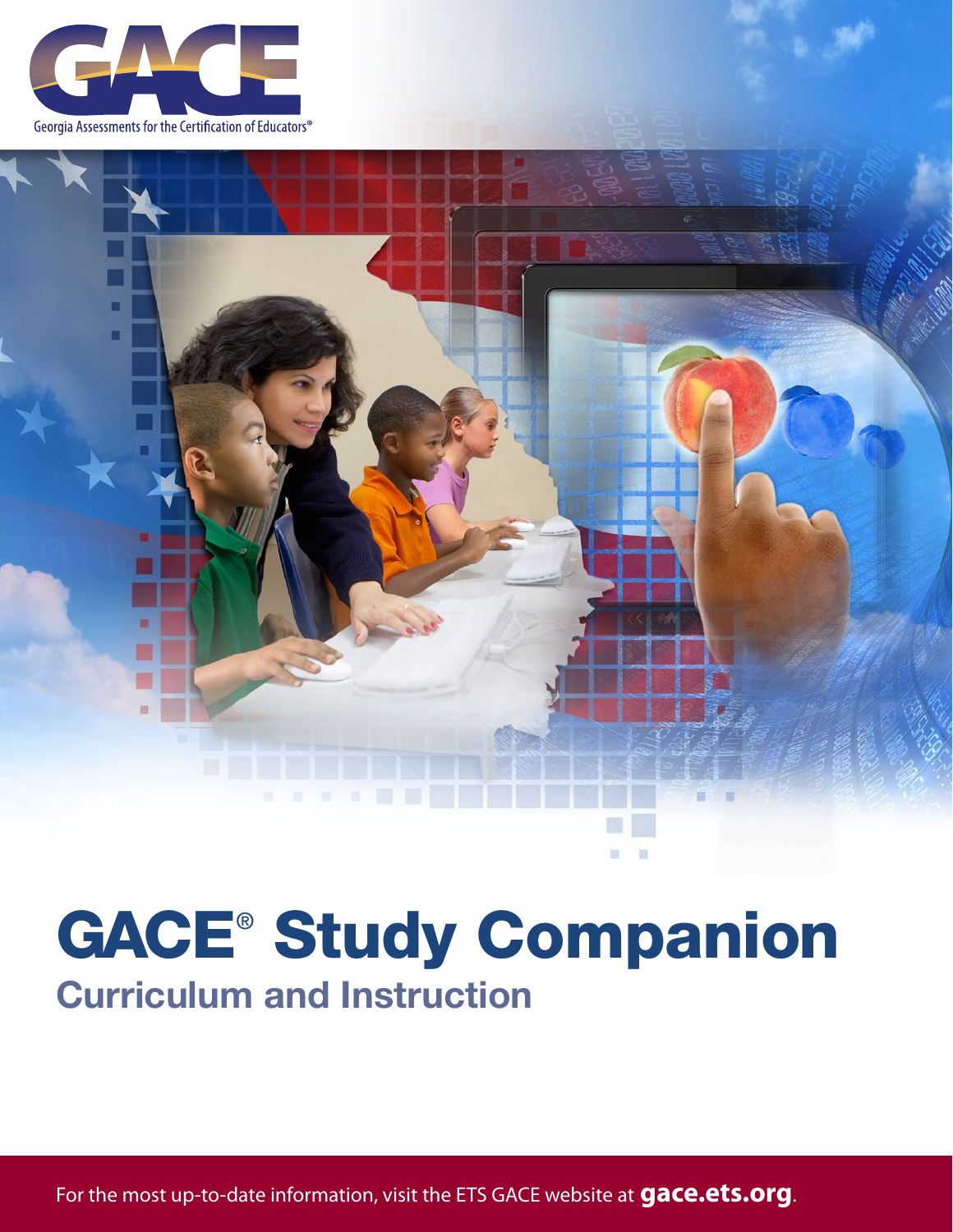



# Curriculum and Instruction GACE® Study Companion

For the most up-to-date information, visit the ETS GACE website at **[gace.ets.org](http://gace.ets.org)**.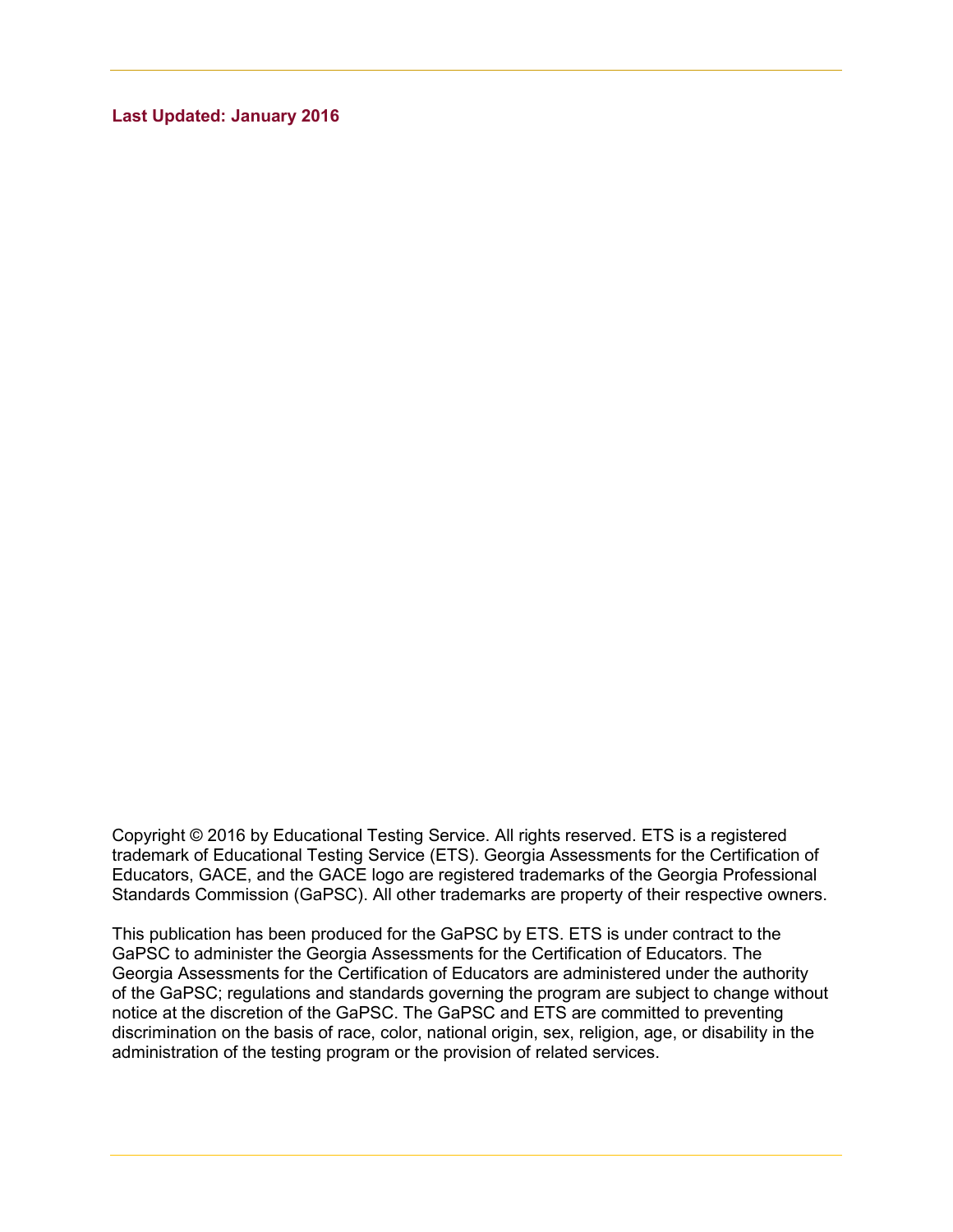**Last Updated: January 2016**

Copyright © 2016 by Educational Testing Service. All rights reserved. ETS is a registered trademark of Educational Testing Service (ETS). Georgia Assessments for the Certification of Educators, GACE, and the GACE logo are registered trademarks of the Georgia Professional Standards Commission (GaPSC). All other trademarks are property of their respective owners.

This publication has been produced for the GaPSC by ETS. ETS is under contract to the GaPSC to administer the Georgia Assessments for the Certification of Educators. The Georgia Assessments for the Certification of Educators are administered under the authority of the GaPSC; regulations and standards governing the program are subject to change without notice at the discretion of the GaPSC. The GaPSC and ETS are committed to preventing discrimination on the basis of race, color, national origin, sex, religion, age, or disability in the administration of the testing program or the provision of related services.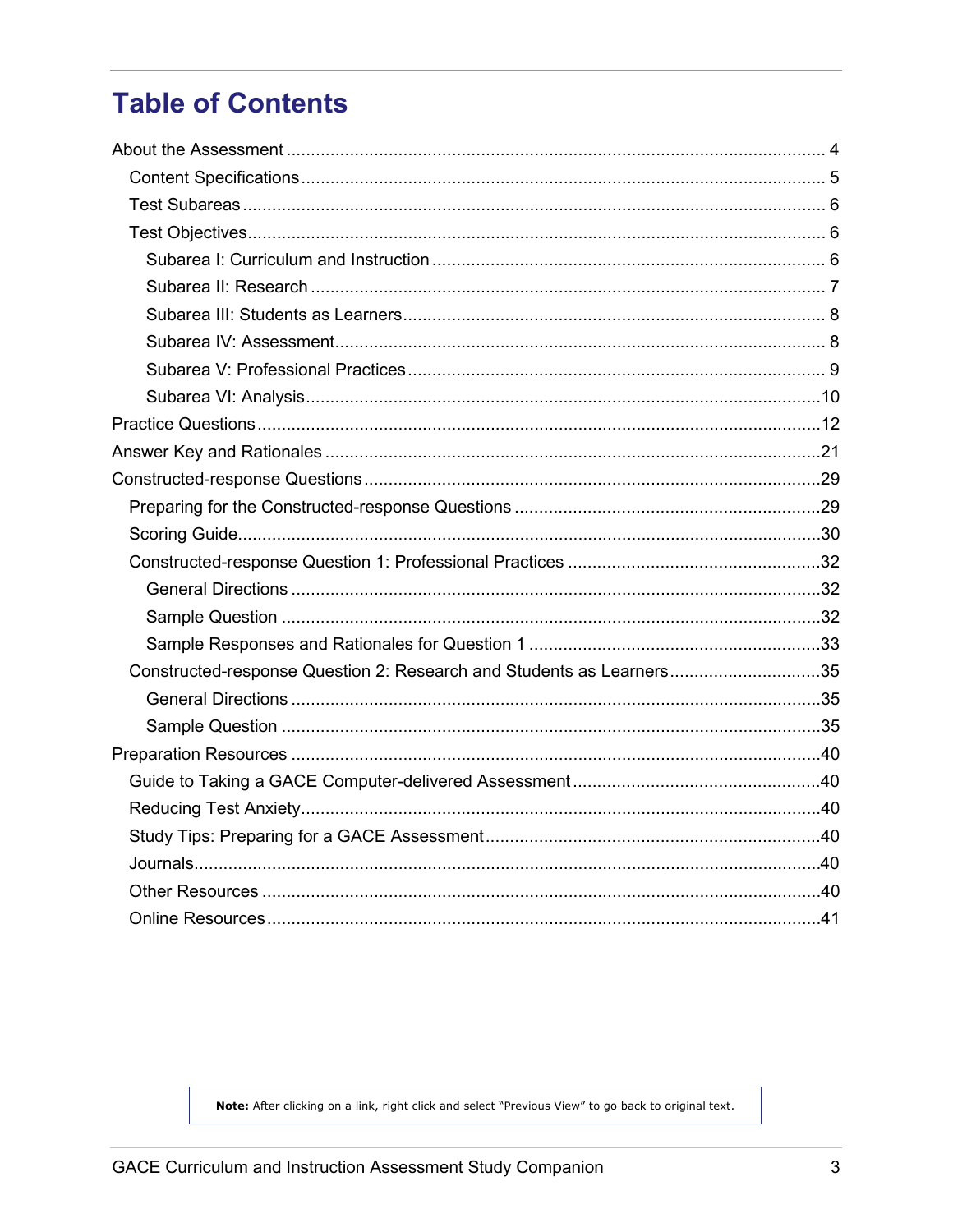# **Table of Contents**

| Constructed-response Question 2: Research and Students as Learners35 |  |
|----------------------------------------------------------------------|--|
|                                                                      |  |
|                                                                      |  |
|                                                                      |  |
|                                                                      |  |
|                                                                      |  |
|                                                                      |  |
|                                                                      |  |
|                                                                      |  |
|                                                                      |  |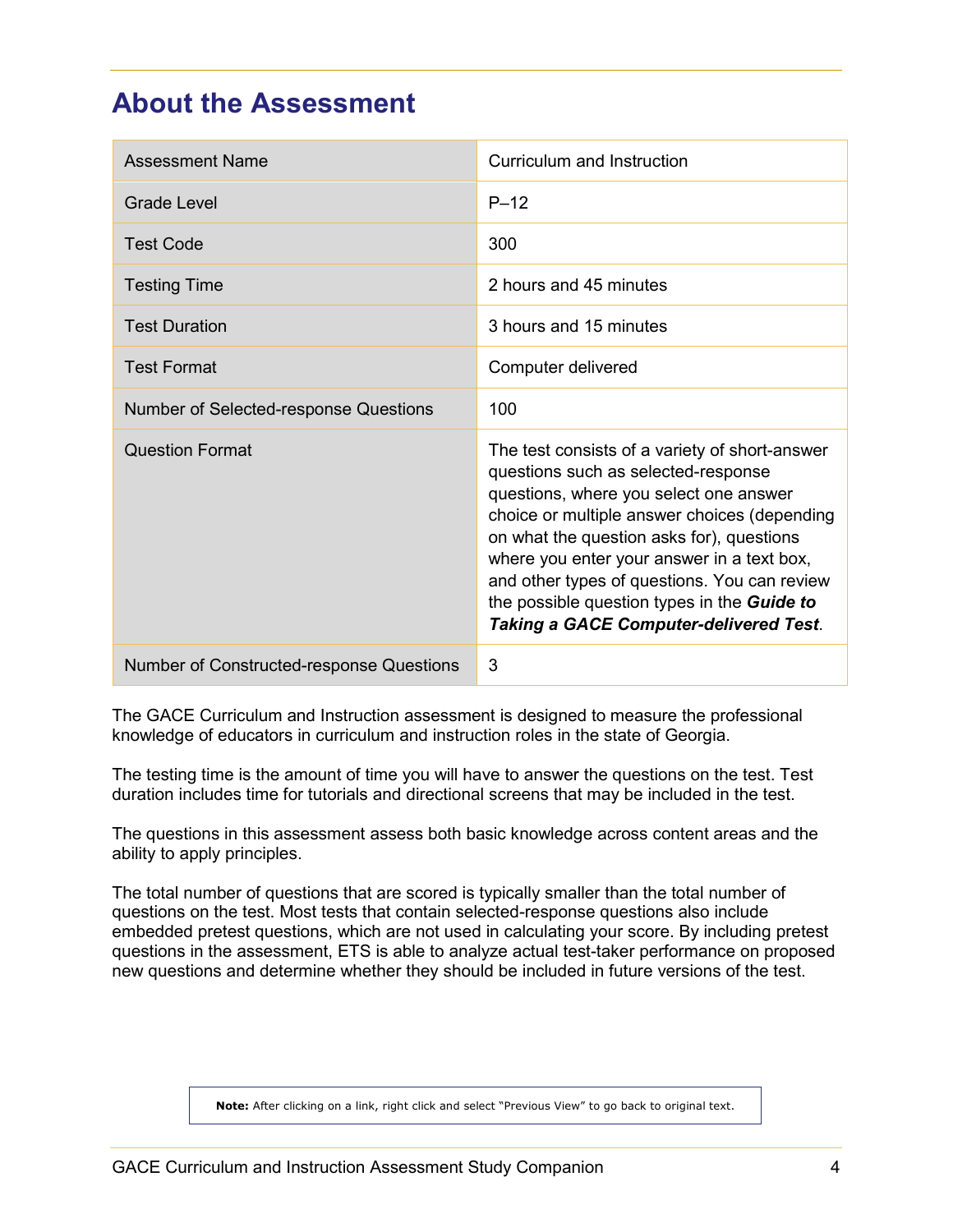# <span id="page-3-0"></span>**About the Assessment**

| <b>Assessment Name</b>                   | Curriculum and Instruction                                                                                                                                                                                                                                                                                                                                                                                                        |
|------------------------------------------|-----------------------------------------------------------------------------------------------------------------------------------------------------------------------------------------------------------------------------------------------------------------------------------------------------------------------------------------------------------------------------------------------------------------------------------|
| <b>Grade Level</b>                       | $P-12$                                                                                                                                                                                                                                                                                                                                                                                                                            |
| <b>Test Code</b>                         | 300                                                                                                                                                                                                                                                                                                                                                                                                                               |
| <b>Testing Time</b>                      | 2 hours and 45 minutes                                                                                                                                                                                                                                                                                                                                                                                                            |
| <b>Test Duration</b>                     | 3 hours and 15 minutes                                                                                                                                                                                                                                                                                                                                                                                                            |
| <b>Test Format</b>                       | Computer delivered                                                                                                                                                                                                                                                                                                                                                                                                                |
| Number of Selected-response Questions    | 100                                                                                                                                                                                                                                                                                                                                                                                                                               |
| <b>Question Format</b>                   | The test consists of a variety of short-answer<br>questions such as selected-response<br>questions, where you select one answer<br>choice or multiple answer choices (depending<br>on what the question asks for), questions<br>where you enter your answer in a text box,<br>and other types of questions. You can review<br>the possible question types in the <b>Guide to</b><br><b>Taking a GACE Computer-delivered Test.</b> |
| Number of Constructed-response Questions | 3                                                                                                                                                                                                                                                                                                                                                                                                                                 |

The GACE Curriculum and Instruction assessment is designed to measure the professional knowledge of educators in curriculum and instruction roles in the state of Georgia.

The testing time is the amount of time you will have to answer the questions on the test. Test duration includes time for tutorials and directional screens that may be included in the test.

The questions in this assessment assess both basic knowledge across content areas and the ability to apply principles.

The total number of questions that are scored is typically smaller than the total number of questions on the test. Most tests that contain selected-response questions also include embedded pretest questions, which are not used in calculating your score. By including pretest questions in the assessment, ETS is able to analyze actual test-taker performance on proposed new questions and determine whether they should be included in future versions of the test.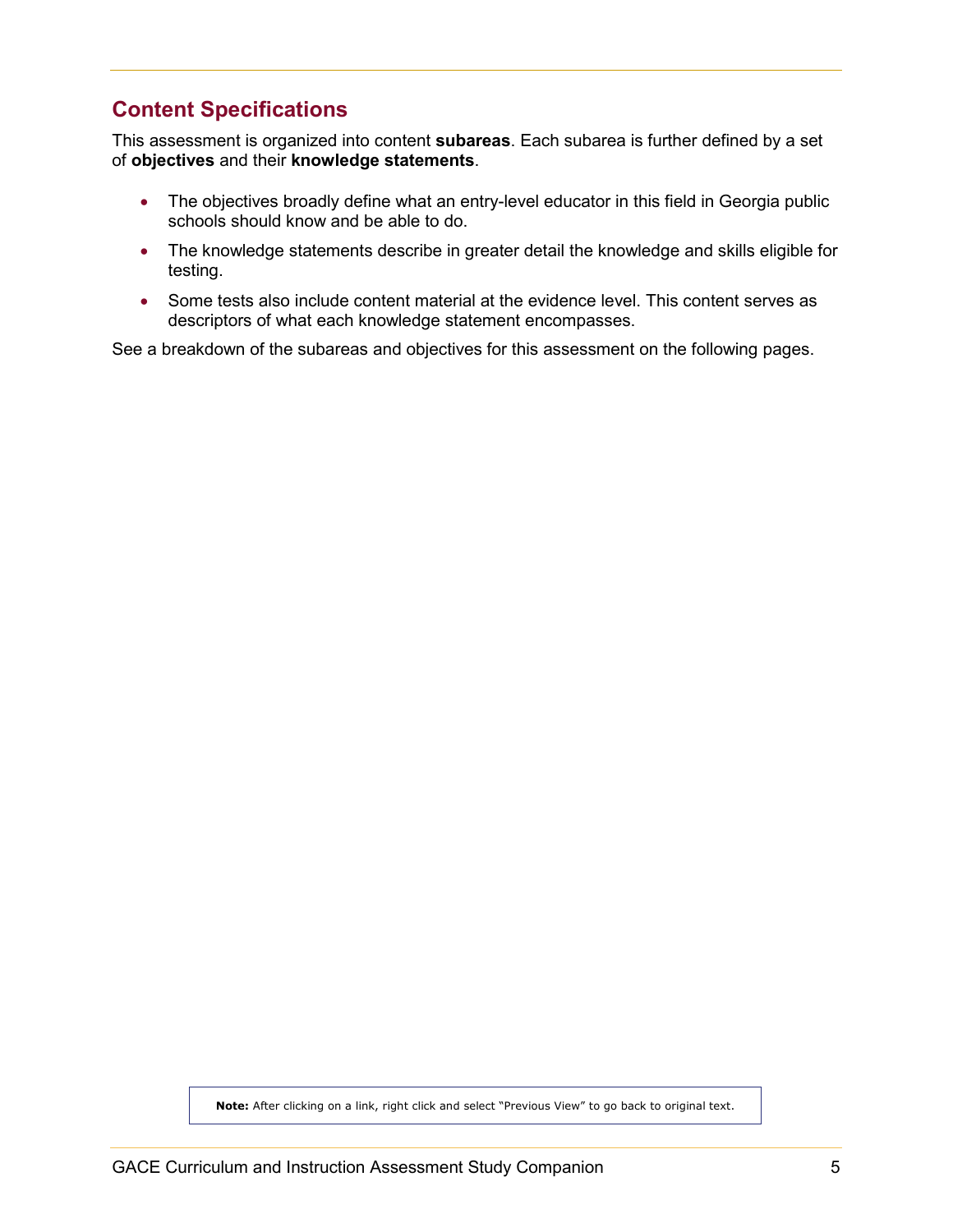# <span id="page-4-0"></span>**Content Specifications**

This assessment is organized into content **subareas**. Each subarea is further defined by a set of **objectives** and their **knowledge statements**.

- The objectives broadly define what an entry-level educator in this field in Georgia public schools should know and be able to do.
- The knowledge statements describe in greater detail the knowledge and skills eligible for testing.
- Some tests also include content material at the evidence level. This content serves as descriptors of what each knowledge statement encompasses.

See a breakdown of the subareas and objectives for this assessment on the following pages.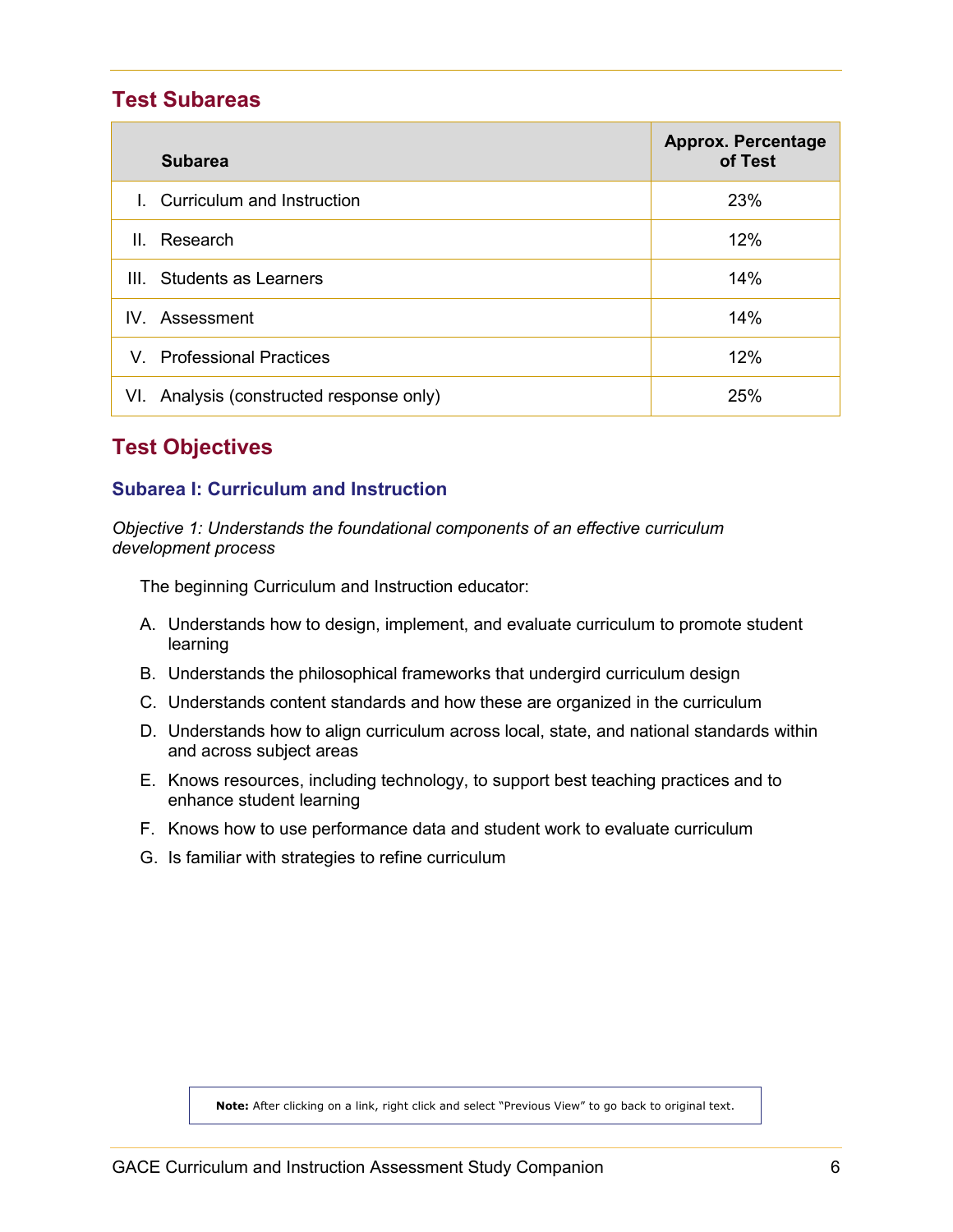### <span id="page-5-0"></span>**Test Subareas**

|              | <b>Subarea</b>                       | <b>Approx. Percentage</b><br>of Test |
|--------------|--------------------------------------|--------------------------------------|
|              | Curriculum and Instruction           | 23%                                  |
| $\mathbf{H}$ | Research                             | 12%                                  |
| ШL           | <b>Students as Learners</b>          | 14%                                  |
|              | IV. Assessment                       | 14%                                  |
|              | V. Professional Practices            | 12%                                  |
| VI.          | Analysis (constructed response only) | 25%                                  |

# <span id="page-5-1"></span>**Test Objectives**

#### <span id="page-5-2"></span>**Subarea I: Curriculum and Instruction**

*Objective 1: Understands the foundational components of an effective curriculum development process*

The beginning Curriculum and Instruction educator:

- A. Understands how to design, implement, and evaluate curriculum to promote student learning
- B. Understands the philosophical frameworks that undergird curriculum design
- C. Understands content standards and how these are organized in the curriculum
- D. Understands how to align curriculum across local, state, and national standards within and across subject areas
- E. Knows resources, including technology, to support best teaching practices and to enhance student learning
- F. Knows how to use performance data and student work to evaluate curriculum
- G. Is familiar with strategies to refine curriculum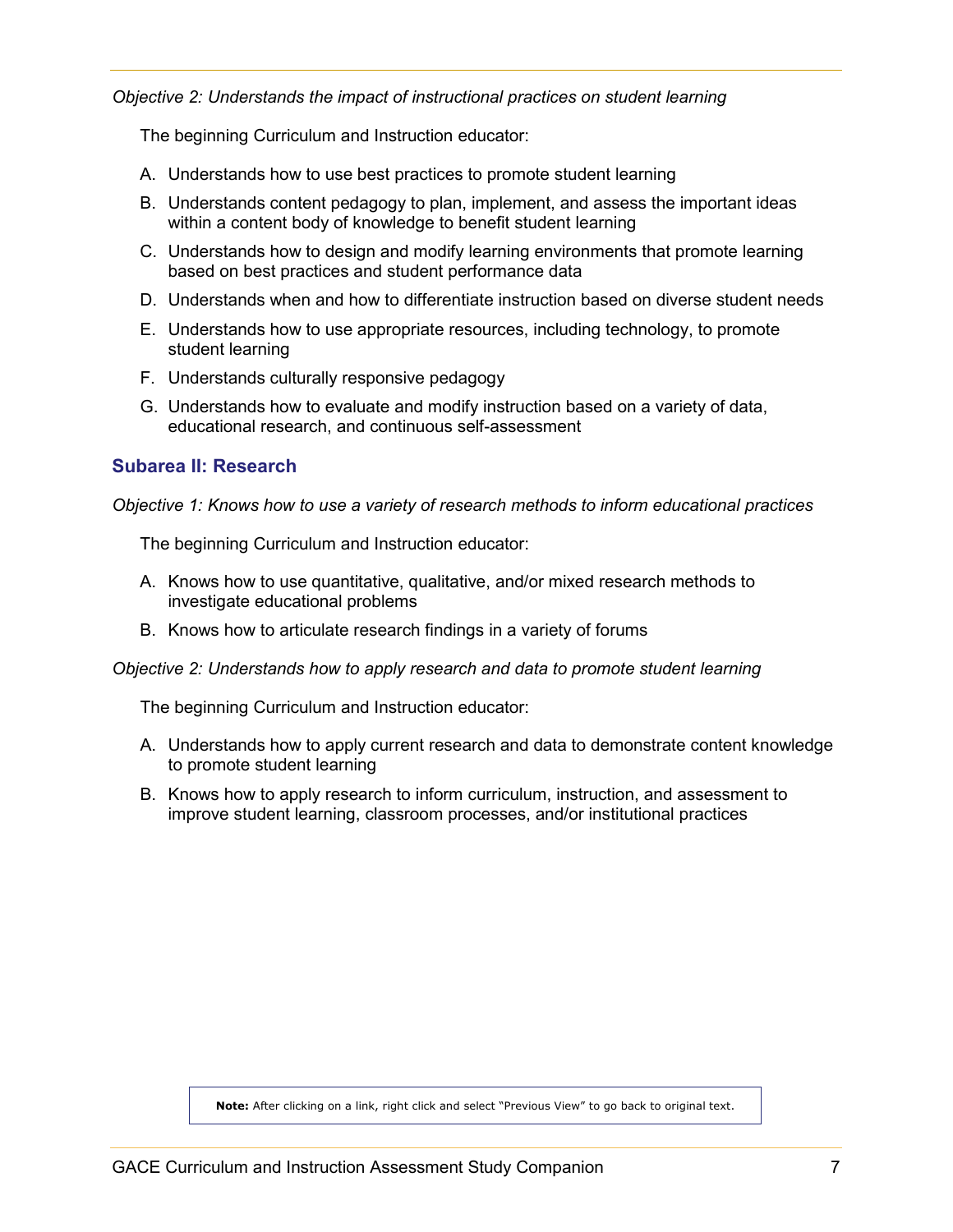*Objective 2: Understands the impact of instructional practices on student learning*

The beginning Curriculum and Instruction educator:

- A. Understands how to use best practices to promote student learning
- B. Understands content pedagogy to plan, implement, and assess the important ideas within a content body of knowledge to benefit student learning
- C. Understands how to design and modify learning environments that promote learning based on best practices and student performance data
- D. Understands when and how to differentiate instruction based on diverse student needs
- E. Understands how to use appropriate resources, including technology, to promote student learning
- F. Understands culturally responsive pedagogy
- G. Understands how to evaluate and modify instruction based on a variety of data, educational research, and continuous self-assessment

#### <span id="page-6-0"></span>**Subarea II: Research**

*Objective 1: Knows how to use a variety of research methods to inform educational practices*

The beginning Curriculum and Instruction educator:

- A. Knows how to use quantitative, qualitative, and/or mixed research methods to investigate educational problems
- B. Knows how to articulate research findings in a variety of forums

#### *Objective 2: Understands how to apply research and data to promote student learning*

The beginning Curriculum and Instruction educator:

- A. Understands how to apply current research and data to demonstrate content knowledge to promote student learning
- B. Knows how to apply research to inform curriculum, instruction, and assessment to improve student learning, classroom processes, and/or institutional practices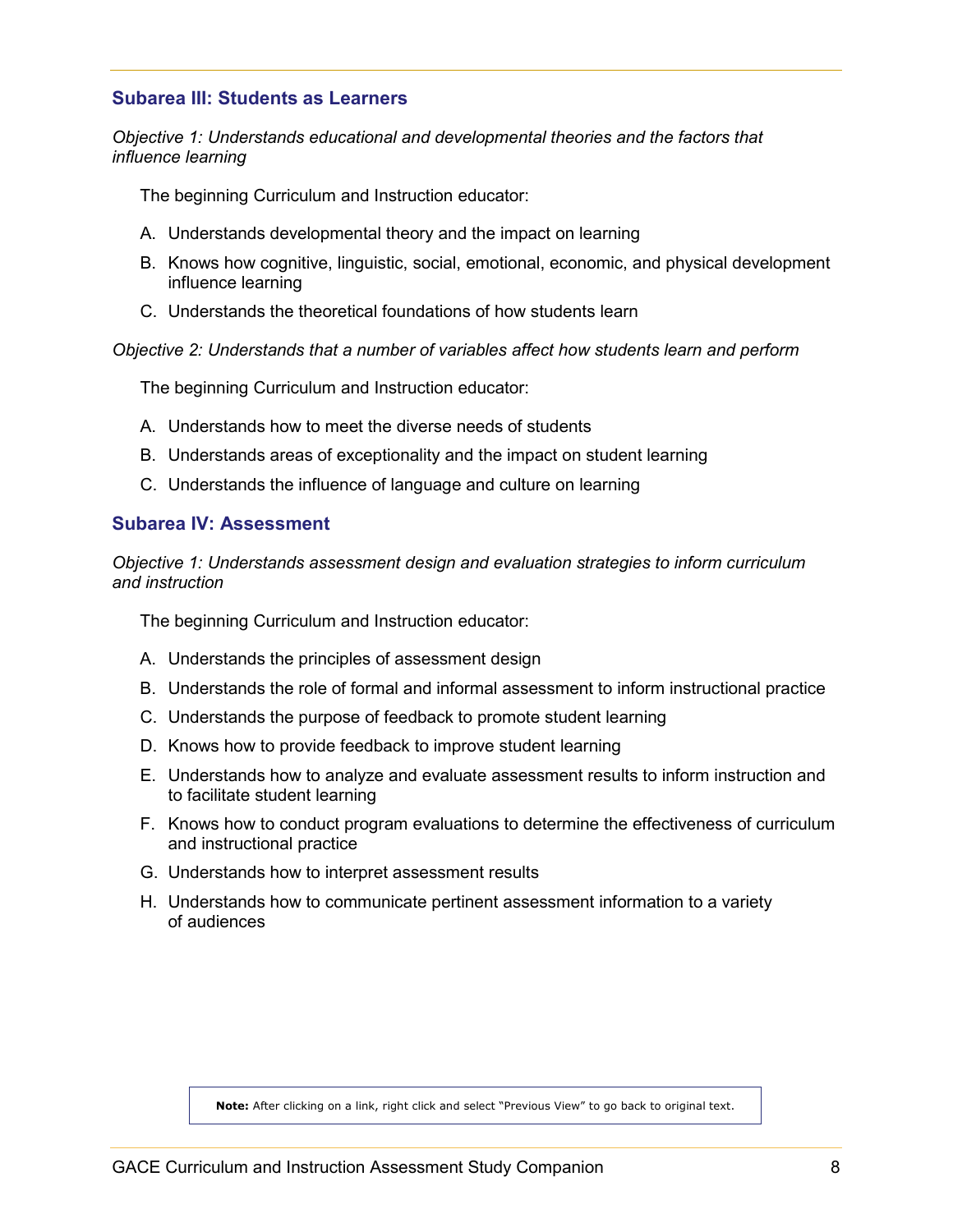#### <span id="page-7-0"></span>**Subarea III: Students as Learners**

*Objective 1: Understands educational and developmental theories and the factors that influence learning*

The beginning Curriculum and Instruction educator:

- A. Understands developmental theory and the impact on learning
- B. Knows how cognitive, linguistic, social, emotional, economic, and physical development influence learning
- C. Understands the theoretical foundations of how students learn

*Objective 2: Understands that a number of variables affect how students learn and perform*

The beginning Curriculum and Instruction educator:

- A. Understands how to meet the diverse needs of students
- B. Understands areas of exceptionality and the impact on student learning
- C. Understands the influence of language and culture on learning

#### <span id="page-7-1"></span>**Subarea IV: Assessment**

*Objective 1: Understands assessment design and evaluation strategies to inform curriculum and instruction*

The beginning Curriculum and Instruction educator:

- A. Understands the principles of assessment design
- B. Understands the role of formal and informal assessment to inform instructional practice
- C. Understands the purpose of feedback to promote student learning
- D. Knows how to provide feedback to improve student learning
- E. Understands how to analyze and evaluate assessment results to inform instruction and to facilitate student learning
- F. Knows how to conduct program evaluations to determine the effectiveness of curriculum and instructional practice
- G. Understands how to interpret assessment results
- H. Understands how to communicate pertinent assessment information to a variety of audiences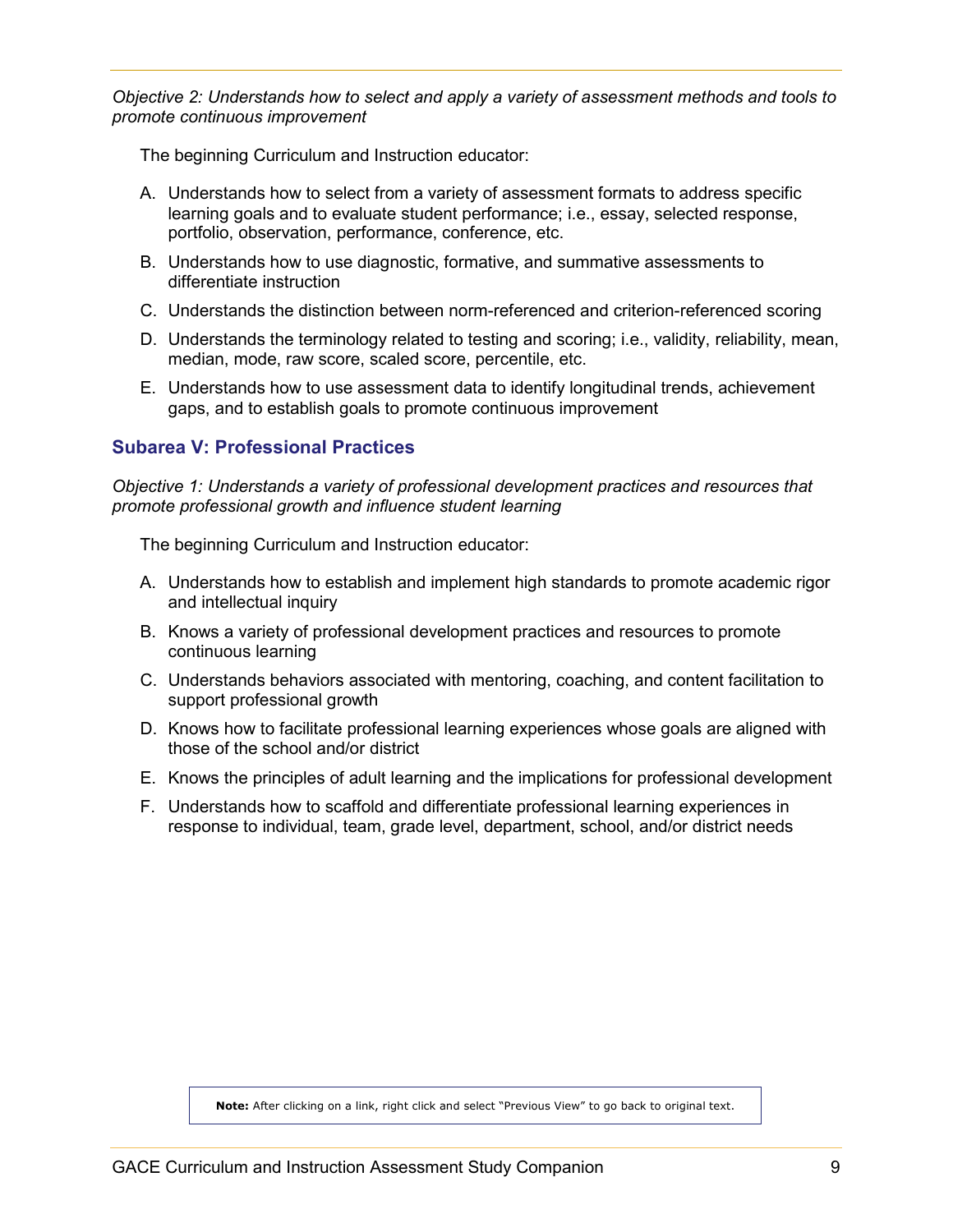*Objective 2: Understands how to select and apply a variety of assessment methods and tools to promote continuous improvement*

The beginning Curriculum and Instruction educator:

- A. Understands how to select from a variety of assessment formats to address specific learning goals and to evaluate student performance; i.e., essay, selected response, portfolio, observation, performance, conference, etc.
- B. Understands how to use diagnostic, formative, and summative assessments to differentiate instruction
- C. Understands the distinction between norm-referenced and criterion-referenced scoring
- D. Understands the terminology related to testing and scoring; i.e., validity, reliability, mean, median, mode, raw score, scaled score, percentile, etc.
- E. Understands how to use assessment data to identify longitudinal trends, achievement gaps, and to establish goals to promote continuous improvement

#### <span id="page-8-0"></span>**Subarea V: Professional Practices**

*Objective 1: Understands a variety of professional development practices and resources that promote professional growth and influence student learning*

The beginning Curriculum and Instruction educator:

- A. Understands how to establish and implement high standards to promote academic rigor and intellectual inquiry
- B. Knows a variety of professional development practices and resources to promote continuous learning
- C. Understands behaviors associated with mentoring, coaching, and content facilitation to support professional growth
- D. Knows how to facilitate professional learning experiences whose goals are aligned with those of the school and/or district
- E. Knows the principles of adult learning and the implications for professional development
- F. Understands how to scaffold and differentiate professional learning experiences in response to individual, team, grade level, department, school, and/or district needs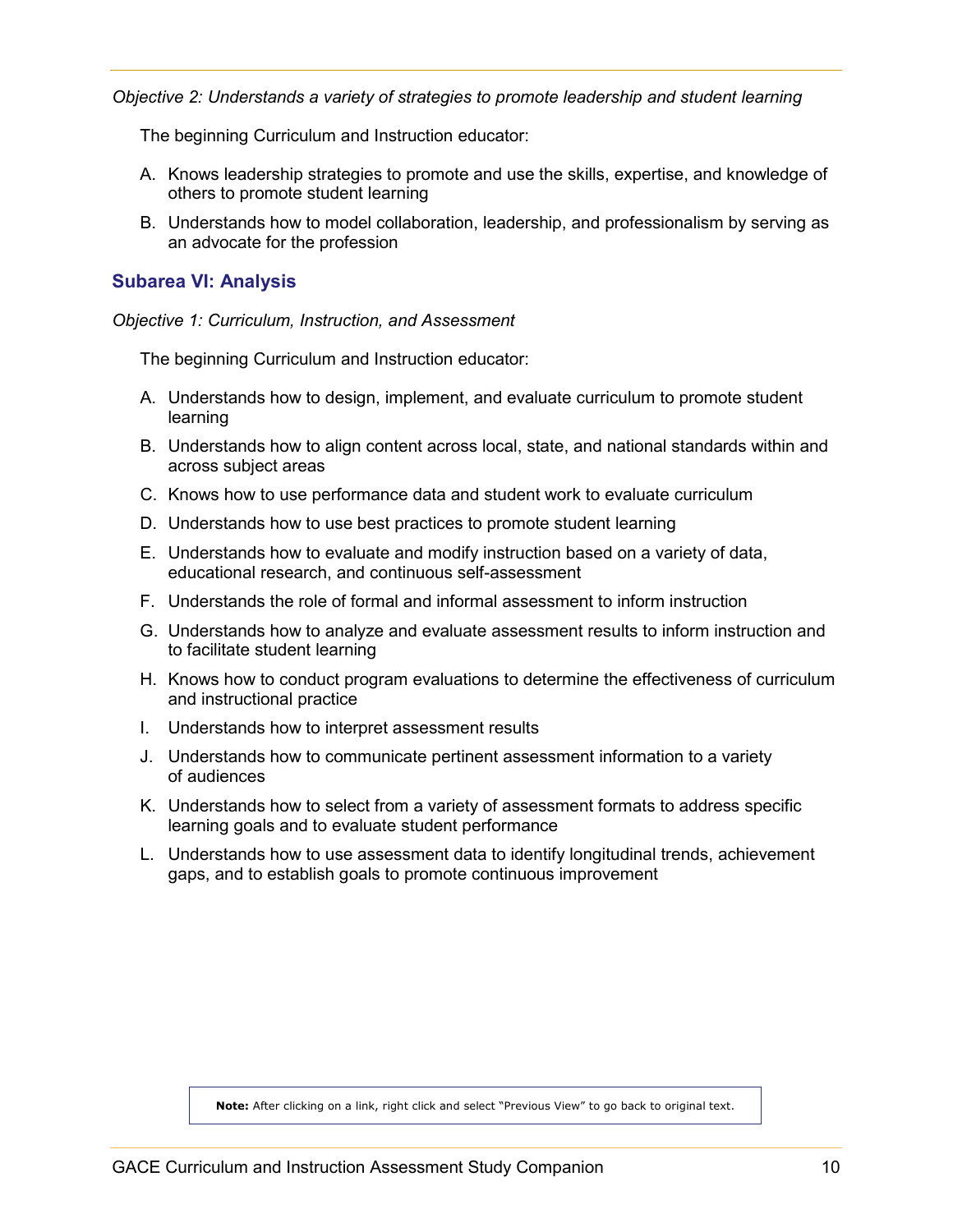*Objective 2: Understands a variety of strategies to promote leadership and student learning*

The beginning Curriculum and Instruction educator:

- A. Knows leadership strategies to promote and use the skills, expertise, and knowledge of others to promote student learning
- B. Understands how to model collaboration, leadership, and professionalism by serving as an advocate for the profession

#### <span id="page-9-0"></span>**Subarea VI: Analysis**

#### *Objective 1: Curriculum, Instruction, and Assessment*

The beginning Curriculum and Instruction educator:

- A. Understands how to design, implement, and evaluate curriculum to promote student learning
- B. Understands how to align content across local, state, and national standards within and across subject areas
- C. Knows how to use performance data and student work to evaluate curriculum
- D. Understands how to use best practices to promote student learning
- E. Understands how to evaluate and modify instruction based on a variety of data, educational research, and continuous self-assessment
- F. Understands the role of formal and informal assessment to inform instruction
- G. Understands how to analyze and evaluate assessment results to inform instruction and to facilitate student learning
- H. Knows how to conduct program evaluations to determine the effectiveness of curriculum and instructional practice
- I. Understands how to interpret assessment results
- J. Understands how to communicate pertinent assessment information to a variety of audiences
- K. Understands how to select from a variety of assessment formats to address specific learning goals and to evaluate student performance
- L. Understands how to use assessment data to identify longitudinal trends, achievement gaps, and to establish goals to promote continuous improvement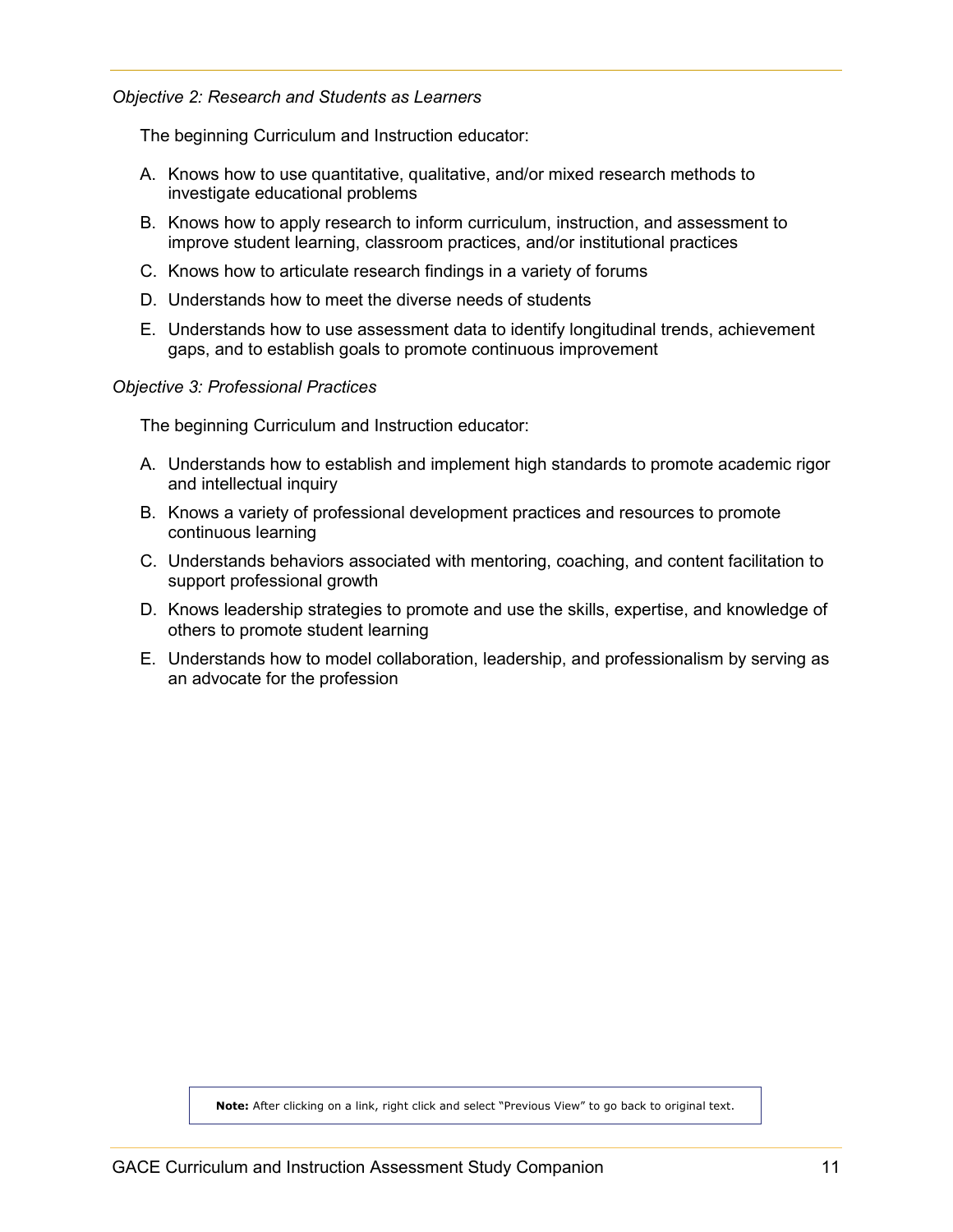#### *Objective 2: Research and Students as Learners*

The beginning Curriculum and Instruction educator:

- A. Knows how to use quantitative, qualitative, and/or mixed research methods to investigate educational problems
- B. Knows how to apply research to inform curriculum, instruction, and assessment to improve student learning, classroom practices, and/or institutional practices
- C. Knows how to articulate research findings in a variety of forums
- D. Understands how to meet the diverse needs of students
- E. Understands how to use assessment data to identify longitudinal trends, achievement gaps, and to establish goals to promote continuous improvement

#### *Objective 3: Professional Practices*

The beginning Curriculum and Instruction educator:

- A. Understands how to establish and implement high standards to promote academic rigor and intellectual inquiry
- B. Knows a variety of professional development practices and resources to promote continuous learning
- C. Understands behaviors associated with mentoring, coaching, and content facilitation to support professional growth
- D. Knows leadership strategies to promote and use the skills, expertise, and knowledge of others to promote student learning
- E. Understands how to model collaboration, leadership, and professionalism by serving as an advocate for the profession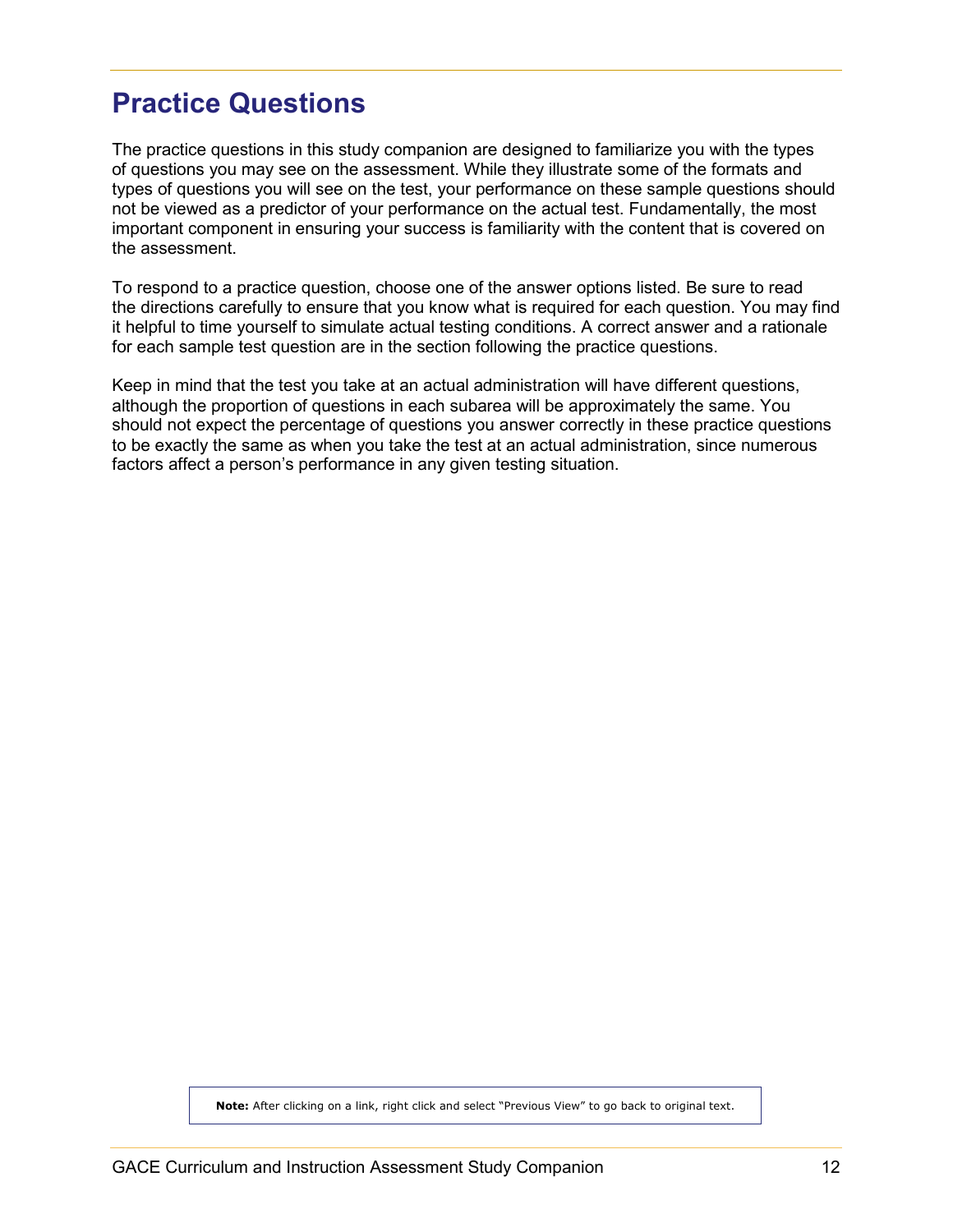# <span id="page-11-0"></span>**Practice Questions**

The practice questions in this study companion are designed to familiarize you with the types of questions you may see on the assessment. While they illustrate some of the formats and types of questions you will see on the test, your performance on these sample questions should not be viewed as a predictor of your performance on the actual test. Fundamentally, the most important component in ensuring your success is familiarity with the content that is covered on the assessment.

To respond to a practice question, choose one of the answer options listed. Be sure to read the directions carefully to ensure that you know what is required for each question. You may find it helpful to time yourself to simulate actual testing conditions. A correct answer and a rationale for each sample test question are in the section following the practice questions.

Keep in mind that the test you take at an actual administration will have different questions, although the proportion of questions in each subarea will be approximately the same. You should not expect the percentage of questions you answer correctly in these practice questions to be exactly the same as when you take the test at an actual administration, since numerous factors affect a person's performance in any given testing situation.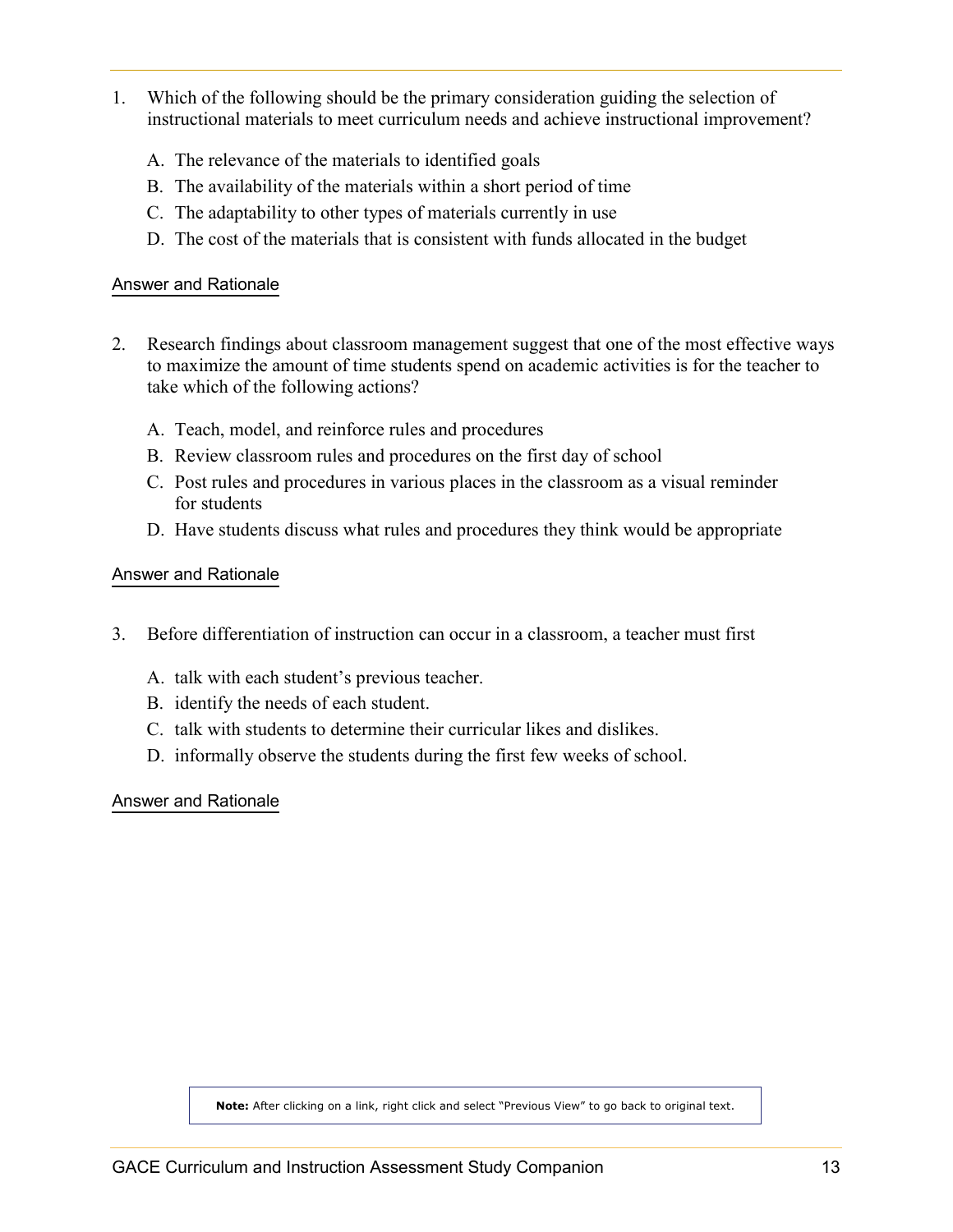- <span id="page-12-0"></span>1. Which of the following should be the primary consideration guiding the selection of instructional materials to meet curriculum needs and achieve instructional improvement?
	- A. The relevance of the materials to identified goals
	- B. The availability of the materials within a short period of time
	- C. The adaptability to other types of materials currently in use
	- D. The cost of the materials that is consistent with funds allocated in the budget

- 2. Research findings about classroom management suggest that one of the most effective ways to maximize the amount of time students spend on academic activities is for the teacher to take which of the following actions?
	- A. Teach, model, and reinforce rules and procedures
	- B. Review classroom rules and procedures on the first day of school
	- C. Post rules and procedures in various places in the classroom as a visual reminder for students
	- D. Have students discuss what rules and procedures they think would be appropriate

#### [Answer and Rationale](#page-20-1)

- 3. Before differentiation of instruction can occur in a classroom, a teacher must first
	- A. talk with each student's previous teacher.
	- B. identify the needs of each student.
	- C. talk with students to determine their curricular likes and dislikes.
	- D. informally observe the students during the first few weeks of school.

[Answer and Rationale](#page-20-1)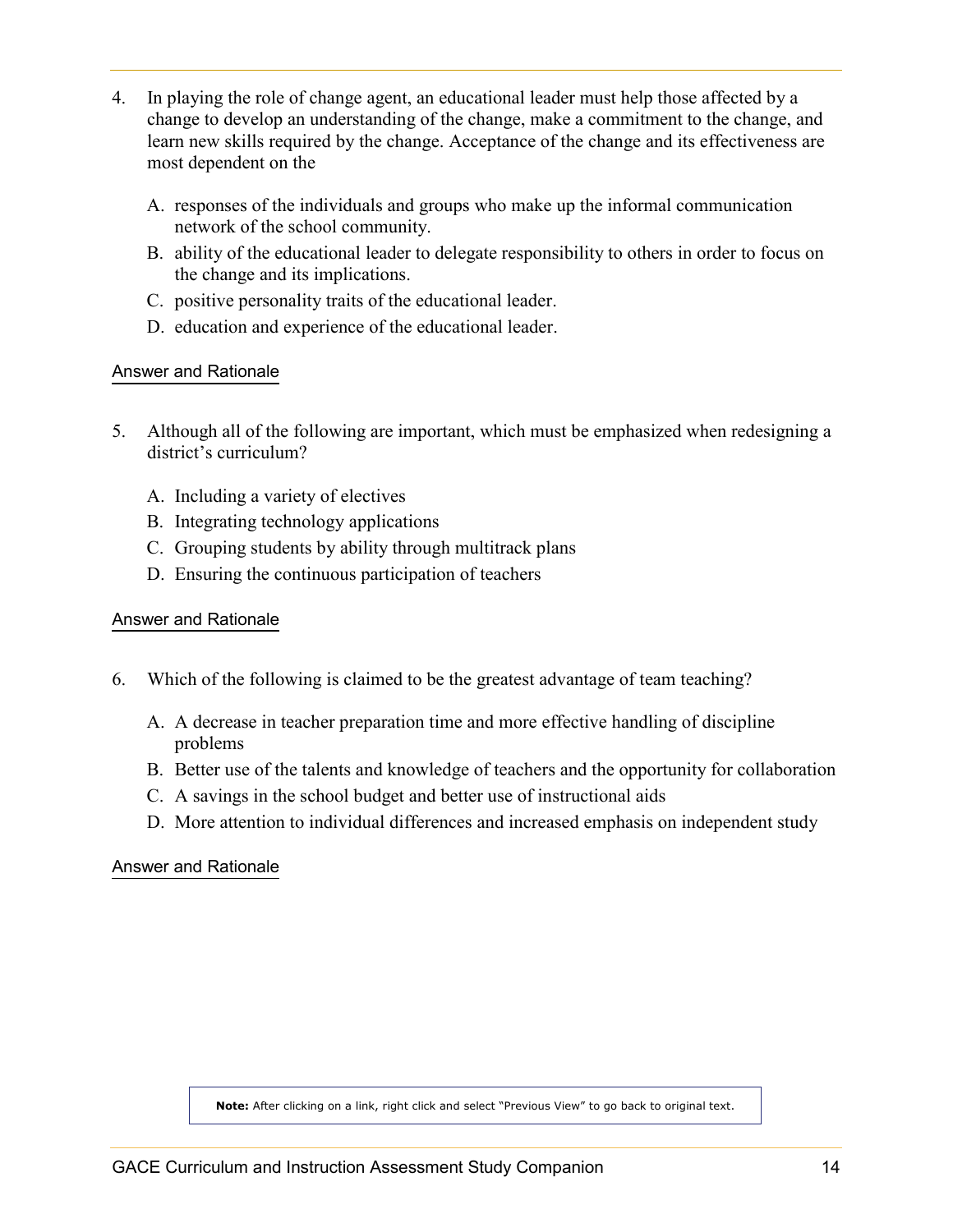- <span id="page-13-0"></span>4. In playing the role of change agent, an educational leader must help those affected by a change to develop an understanding of the change, make a commitment to the change, and learn new skills required by the change. Acceptance of the change and its effectiveness are most dependent on the
	- A. responses of the individuals and groups who make up the informal communication network of the school community.
	- B. ability of the educational leader to delegate responsibility to others in order to focus on the change and its implications.
	- C. positive personality traits of the educational leader.
	- D. education and experience of the educational leader.

- 5. Although all of the following are important, which must be emphasized when redesigning a district's curriculum?
	- A. Including a variety of electives
	- B. Integrating technology applications
	- C. Grouping students by ability through multitrack plans
	- D. Ensuring the continuous participation of teachers

#### [Answer and Rationale](#page-21-0)

- 6. Which of the following is claimed to be the greatest advantage of team teaching?
	- A. A decrease in teacher preparation time and more effective handling of discipline problems
	- B. Better use of the talents and knowledge of teachers and the opportunity for collaboration
	- C. A savings in the school budget and better use of instructional aids
	- D. More attention to individual differences and increased emphasis on independent study

#### [Answer and Rationale](#page-21-0)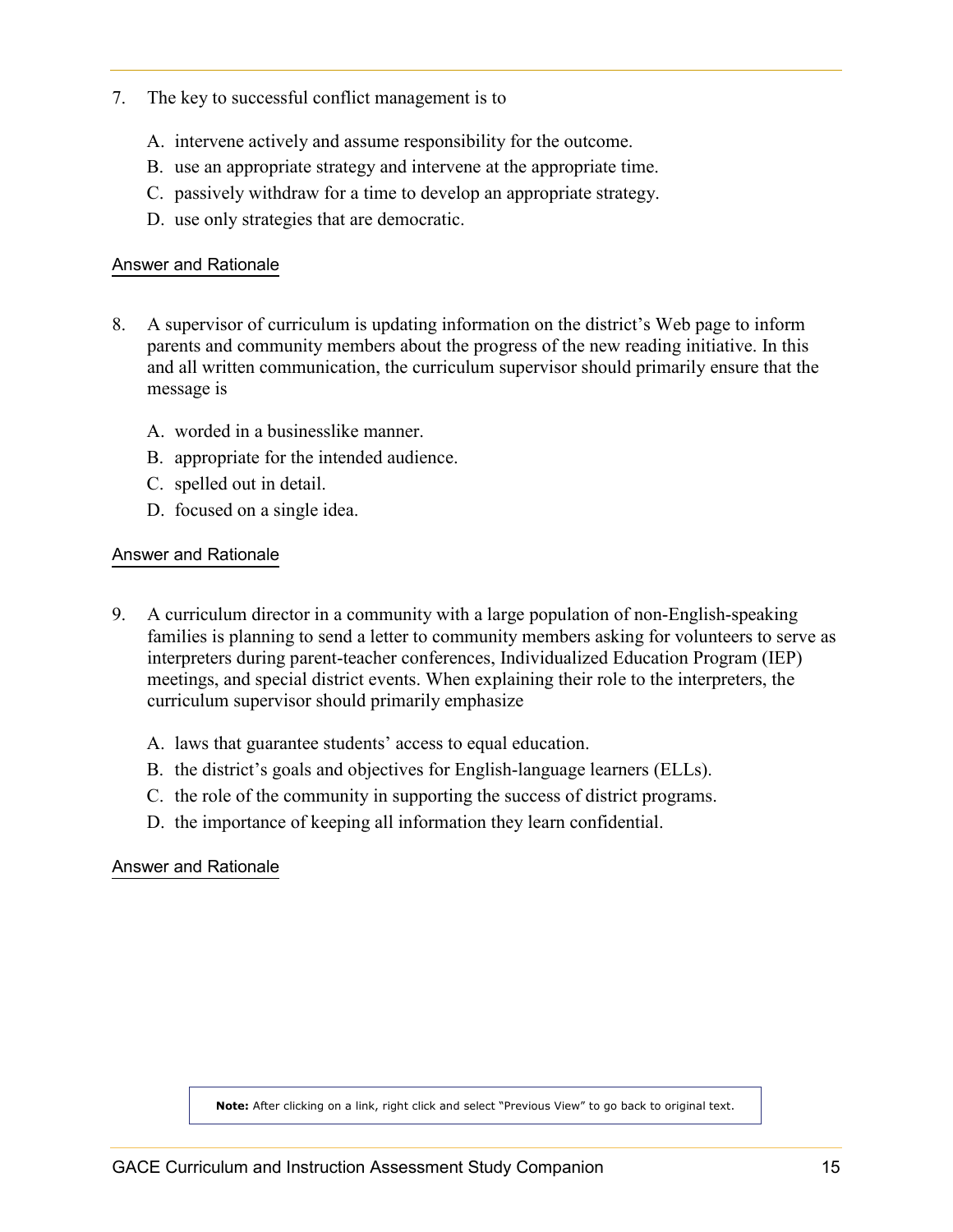- <span id="page-14-0"></span>7. The key to successful conflict management is to
	- A. intervene actively and assume responsibility for the outcome.
	- B. use an appropriate strategy and intervene at the appropriate time.
	- C. passively withdraw for a time to develop an appropriate strategy.
	- D. use only strategies that are democratic.

- 8. A supervisor of curriculum is updating information on the district's Web page to inform parents and community members about the progress of the new reading initiative. In this and all written communication, the curriculum supervisor should primarily ensure that the message is
	- A. worded in a businesslike manner.
	- B. appropriate for the intended audience.
	- C. spelled out in detail.
	- D. focused on a single idea.

#### [Answer and Rationale](#page-22-0)

- 9. A curriculum director in a community with a large population of non-English-speaking families is planning to send a letter to community members asking for volunteers to serve as interpreters during parent-teacher conferences, Individualized Education Program (IEP) meetings, and special district events. When explaining their role to the interpreters, the curriculum supervisor should primarily emphasize
	- A. laws that guarantee students' access to equal education.
	- B. the district's goals and objectives for English-language learners (ELLs).
	- C. the role of the community in supporting the success of district programs.
	- D. the importance of keeping all information they learn confidential.

#### [Answer and Rationale](#page-22-0)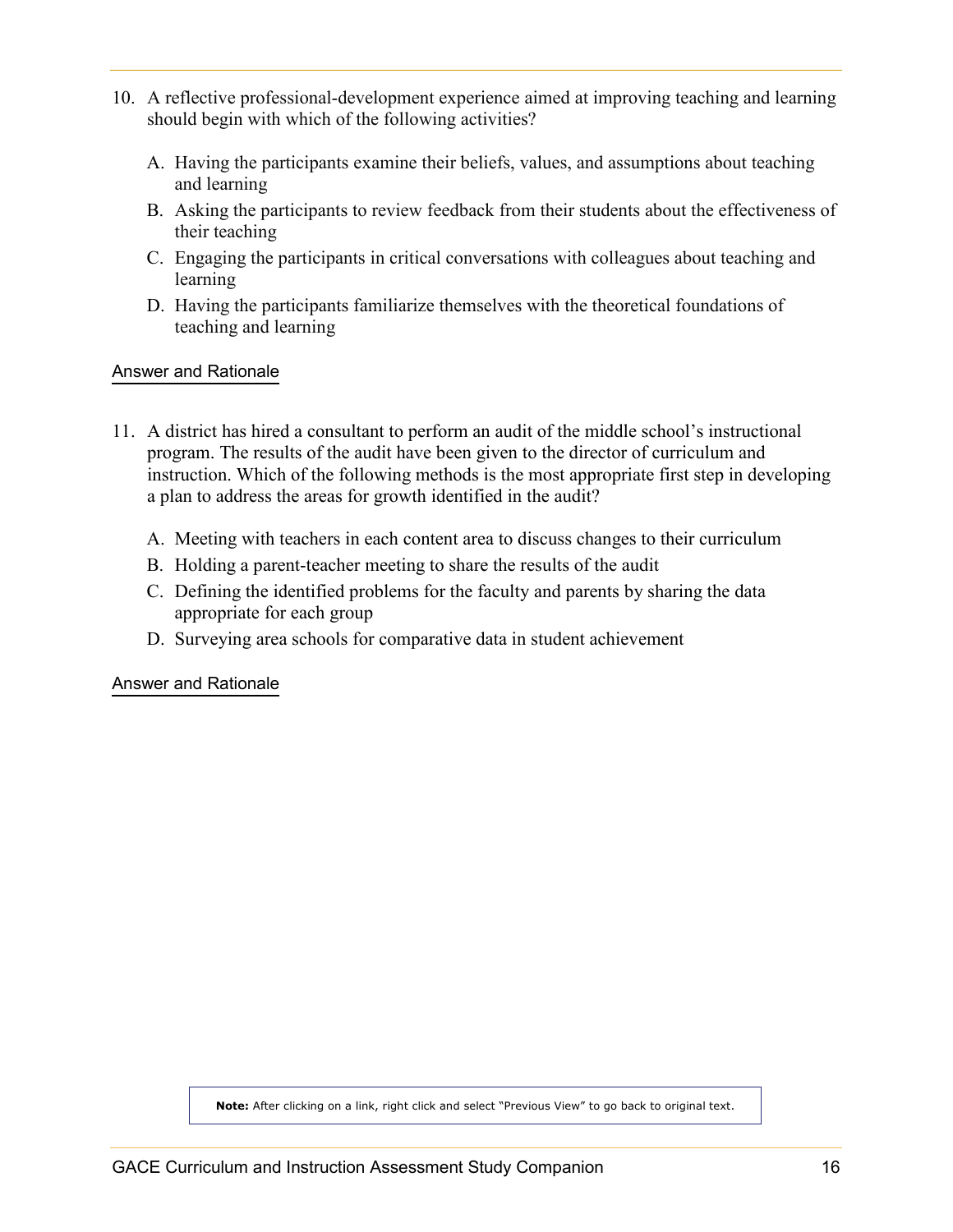- <span id="page-15-0"></span>10. A reflective professional-development experience aimed at improving teaching and learning should begin with which of the following activities?
	- A. Having the participants examine their beliefs, values, and assumptions about teaching and learning
	- B. Asking the participants to review feedback from their students about the effectiveness of their teaching
	- C. Engaging the participants in critical conversations with colleagues about teaching and learning
	- D. Having the participants familiarize themselves with the theoretical foundations of teaching and learning

- 11. A district has hired a consultant to perform an audit of the middle school's instructional program. The results of the audit have been given to the director of curriculum and instruction. Which of the following methods is the most appropriate first step in developing a plan to address the areas for growth identified in the audit?
	- A. Meeting with teachers in each content area to discuss changes to their curriculum
	- B. Holding a parent-teacher meeting to share the results of the audit
	- C. Defining the identified problems for the faculty and parents by sharing the data appropriate for each group
	- D. Surveying area schools for comparative data in student achievement

[Answer and Rationale](#page-15-0)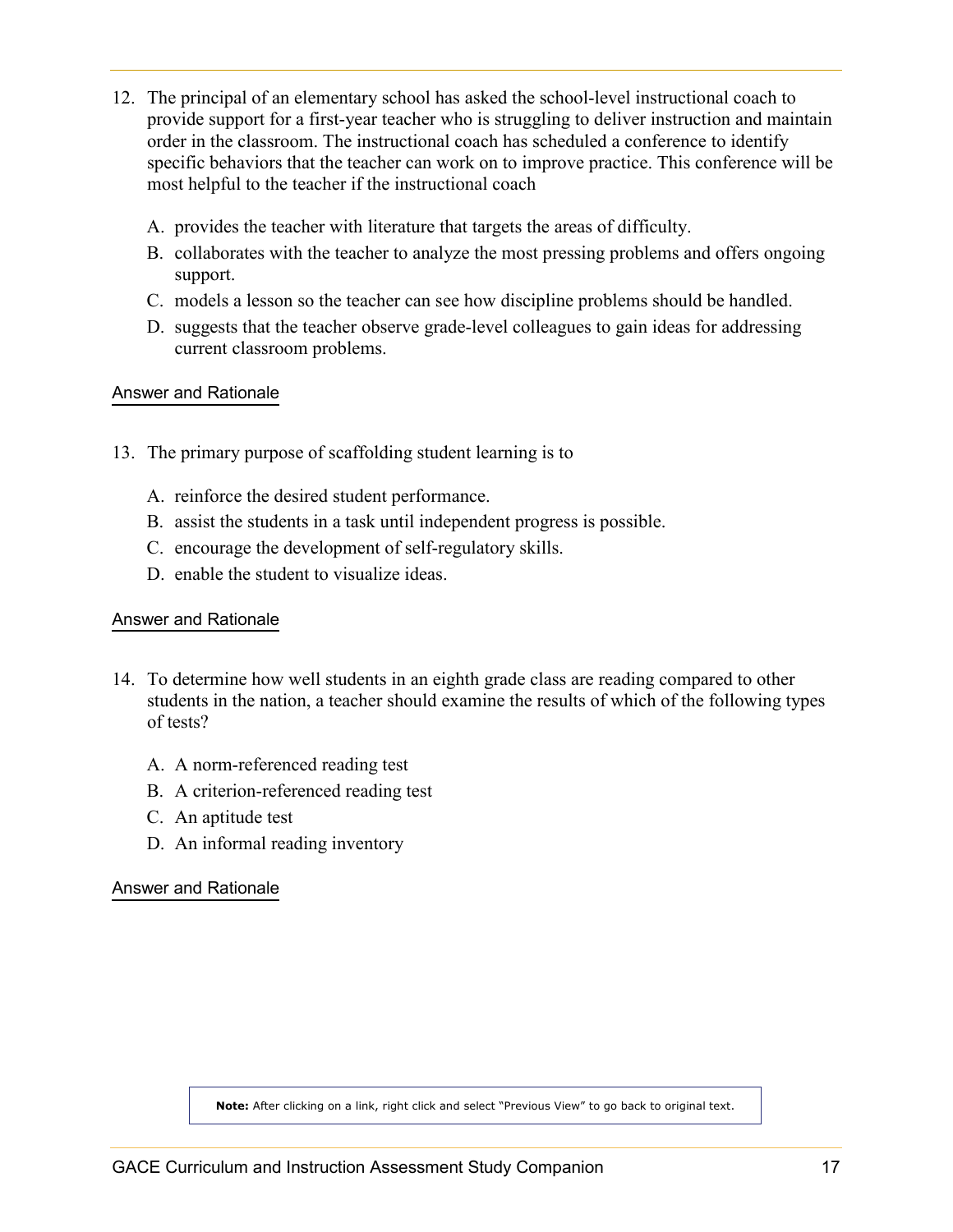- <span id="page-16-0"></span>12. The principal of an elementary school has asked the school-level instructional coach to provide support for a first-year teacher who is struggling to deliver instruction and maintain order in the classroom. The instructional coach has scheduled a conference to identify specific behaviors that the teacher can work on to improve practice. This conference will be most helpful to the teacher if the instructional coach
	- A. provides the teacher with literature that targets the areas of difficulty.
	- B. collaborates with the teacher to analyze the most pressing problems and offers ongoing support.
	- C. models a lesson so the teacher can see how discipline problems should be handled.
	- D. suggests that the teacher observe grade-level colleagues to gain ideas for addressing current classroom problems.

- 13. The primary purpose of scaffolding student learning is to
	- A. reinforce the desired student performance.
	- B. assist the students in a task until independent progress is possible.
	- C. encourage the development of self-regulatory skills.
	- D. enable the student to visualize ideas.

#### [Answer and Rationale](#page-24-0)

- 14. To determine how well students in an eighth grade class are reading compared to other students in the nation, a teacher should examine the results of which of the following types of tests?
	- A. A norm-referenced reading test
	- B. A criterion-referenced reading test
	- C. An aptitude test
	- D. An informal reading inventory

#### [Answer and Rationale](#page-24-0)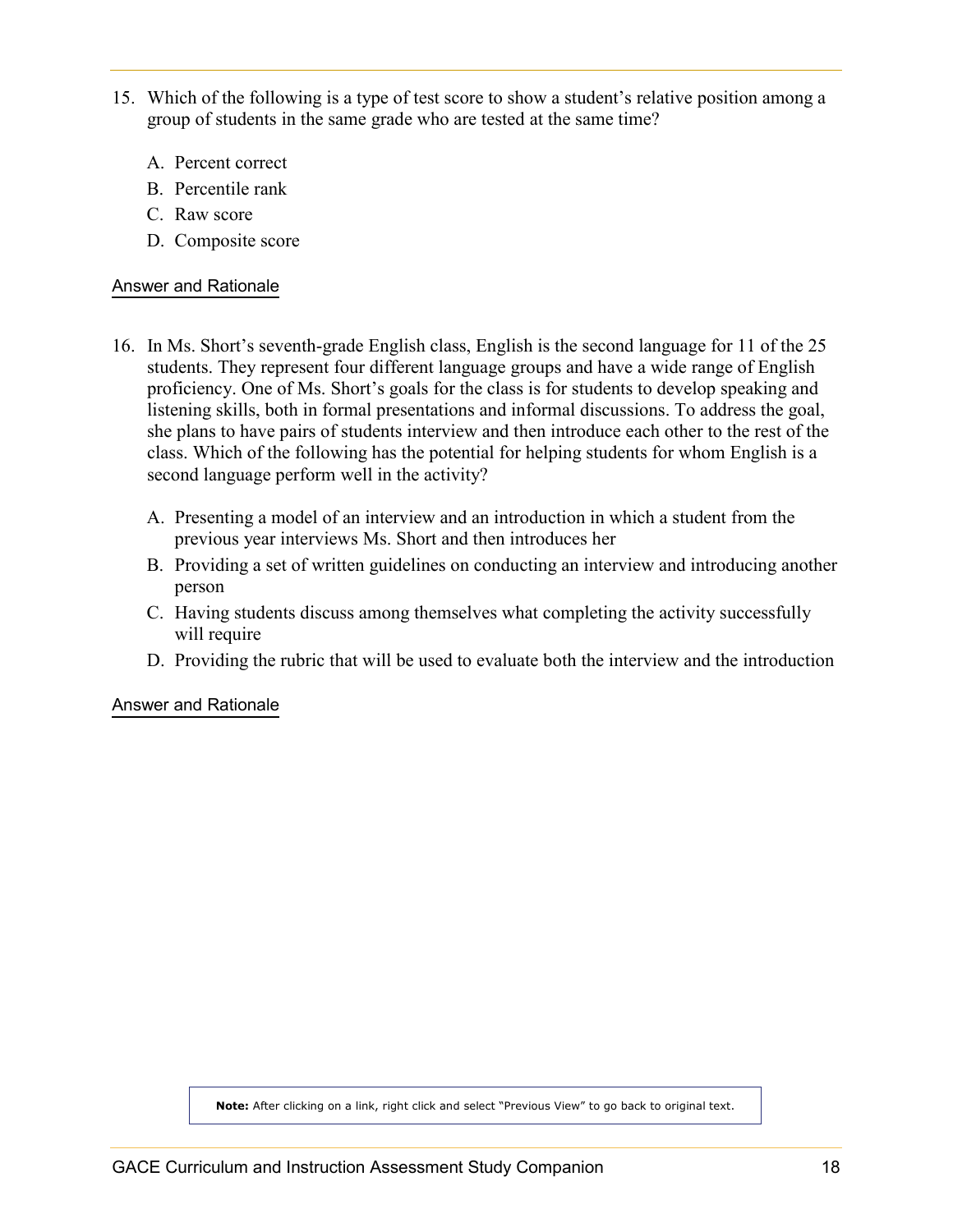- <span id="page-17-0"></span>15. Which of the following is a type of test score to show a student's relative position among a group of students in the same grade who are tested at the same time?
	- A. Percent correct
	- B. Percentile rank
	- C. Raw score
	- D. Composite score

- 16. In Ms. Short's seventh-grade English class, English is the second language for 11 of the 25 students. They represent four different language groups and have a wide range of English proficiency. One of Ms. Short's goals for the class is for students to develop speaking and listening skills, both in formal presentations and informal discussions. To address the goal, she plans to have pairs of students interview and then introduce each other to the rest of the class. Which of the following has the potential for helping students for whom English is a second language perform well in the activity?
	- A. Presenting a model of an interview and an introduction in which a student from the previous year interviews Ms. Short and then introduces her
	- B. Providing a set of written guidelines on conducting an interview and introducing another person
	- C. Having students discuss among themselves what completing the activity successfully will require
	- D. Providing the rubric that will be used to evaluate both the interview and the introduction

[Answer and Rationale](#page-25-0)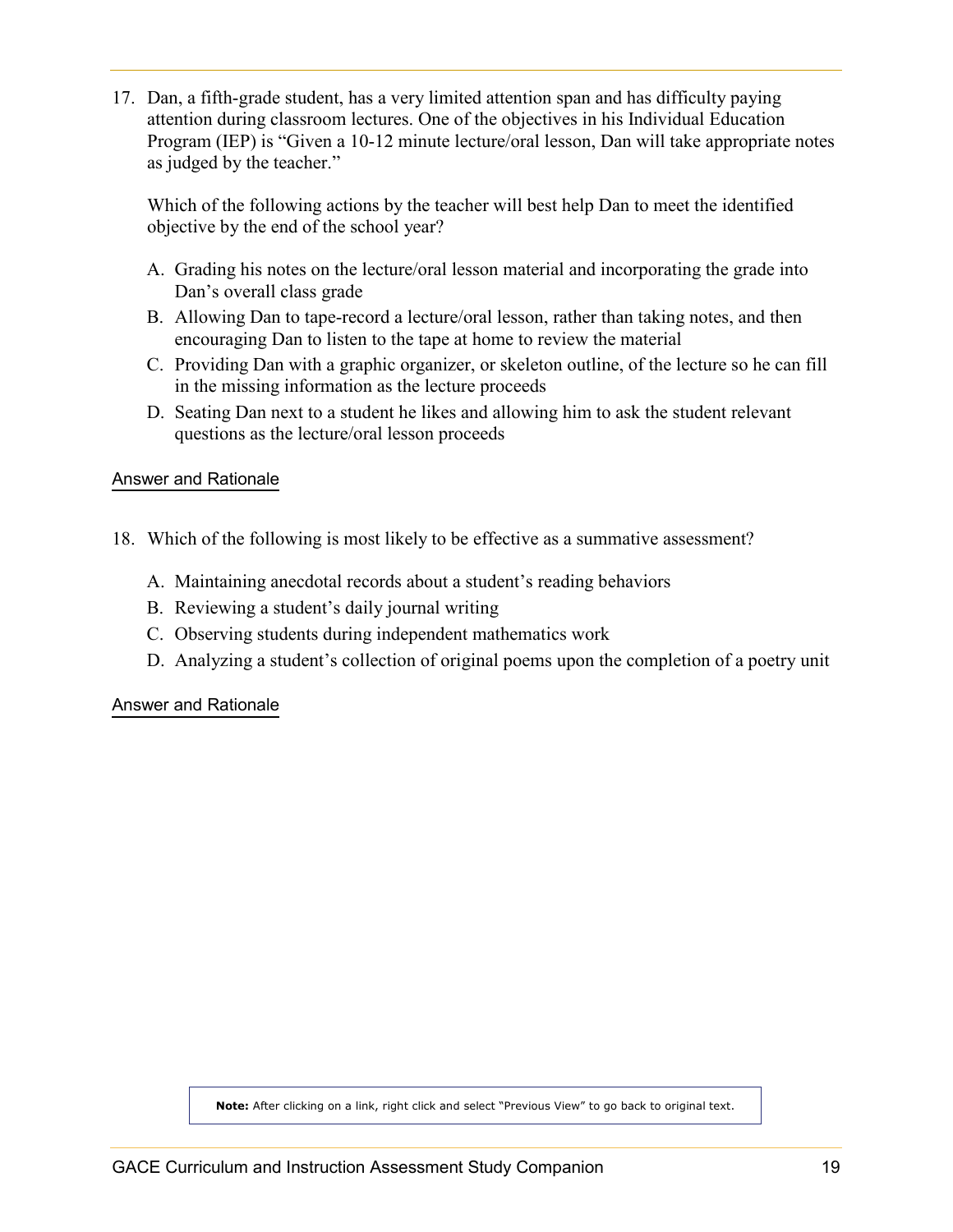<span id="page-18-1"></span><span id="page-18-0"></span>17. Dan, a fifth-grade student, has a very limited attention span and has difficulty paying attention during classroom lectures. One of the objectives in his Individual Education Program (IEP) is "Given a 10-12 minute lecture/oral lesson, Dan will take appropriate notes as judged by the teacher."

Which of the following actions by the teacher will best help Dan to meet the identified objective by the end of the school year?

- A. Grading his notes on the lecture/oral lesson material and incorporating the grade into Dan's overall class grade
- B. Allowing Dan to tape-record a lecture/oral lesson, rather than taking notes, and then encouraging Dan to listen to the tape at home to review the material
- C. Providing Dan with a graphic organizer, or skeleton outline, of the lecture so he can fill in the missing information as the lecture proceeds
- D. Seating Dan next to a student he likes and allowing him to ask the student relevant questions as the lecture/oral lesson proceeds

[Answer and Rationale](#page-26-0)

- 18. Which of the following is most likely to be effective as a summative assessment?
	- A. Maintaining anecdotal records about a student's reading behaviors
	- B. Reviewing a student's daily journal writing
	- C. Observing students during independent mathematics work
	- D. Analyzing a student's collection of original poems upon the completion of a poetry unit

[Answer and Rationale](#page-26-0)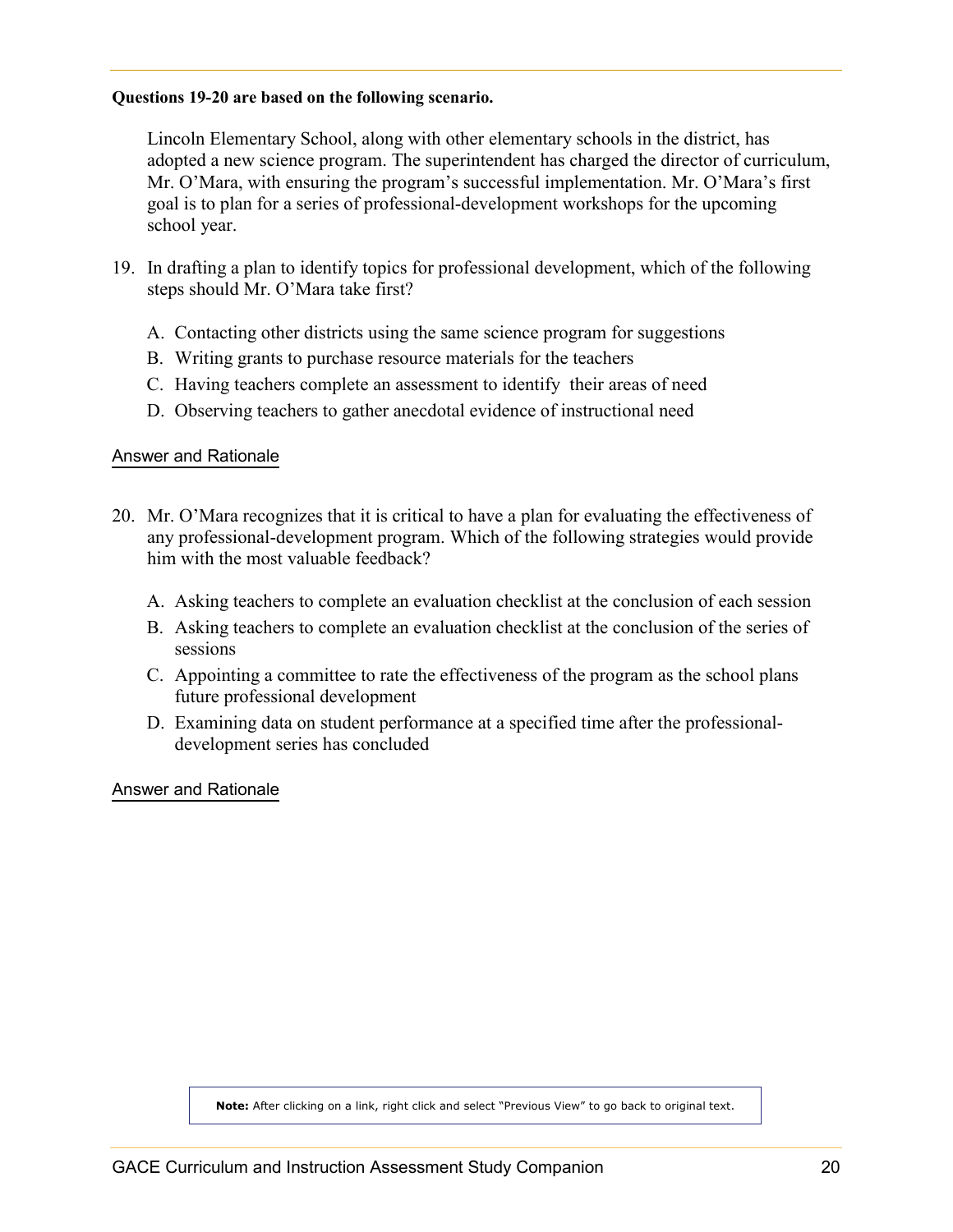#### <span id="page-19-0"></span>**Questions 19-20 are based on the following scenario.**

 Lincoln Elementary School, along with other elementary schools in the district, has adopted a new science program. The superintendent has charged the director of curriculum, Mr. O'Mara, with ensuring the program's successful implementation. Mr. O'Mara's first goal is to plan for a series of professional-development workshops for the upcoming school year.

- 19. In drafting a plan to identify topics for professional development, which of the following steps should Mr. O'Mara take first?
	- A. Contacting other districts using the same science program for suggestions
	- B. Writing grants to purchase resource materials for the teachers
	- C. Having teachers complete an assessment to identify their areas of need
	- D. Observing teachers to gather anecdotal evidence of instructional need

#### [Answer and Rationale](#page-27-0)

- 20. Mr. O'Mara recognizes that it is critical to have a plan for evaluating the effectiveness of any professional-development program. Which of the following strategies would provide him with the most valuable feedback?
	- A. Asking teachers to complete an evaluation checklist at the conclusion of each session
	- B. Asking teachers to complete an evaluation checklist at the conclusion of the series of sessions
	- C. Appointing a committee to rate the effectiveness of the program as the school plans future professional development
	- D. Examining data on student performance at a specified time after the professionaldevelopment series has concluded

[Answer and Rationale](#page-27-0)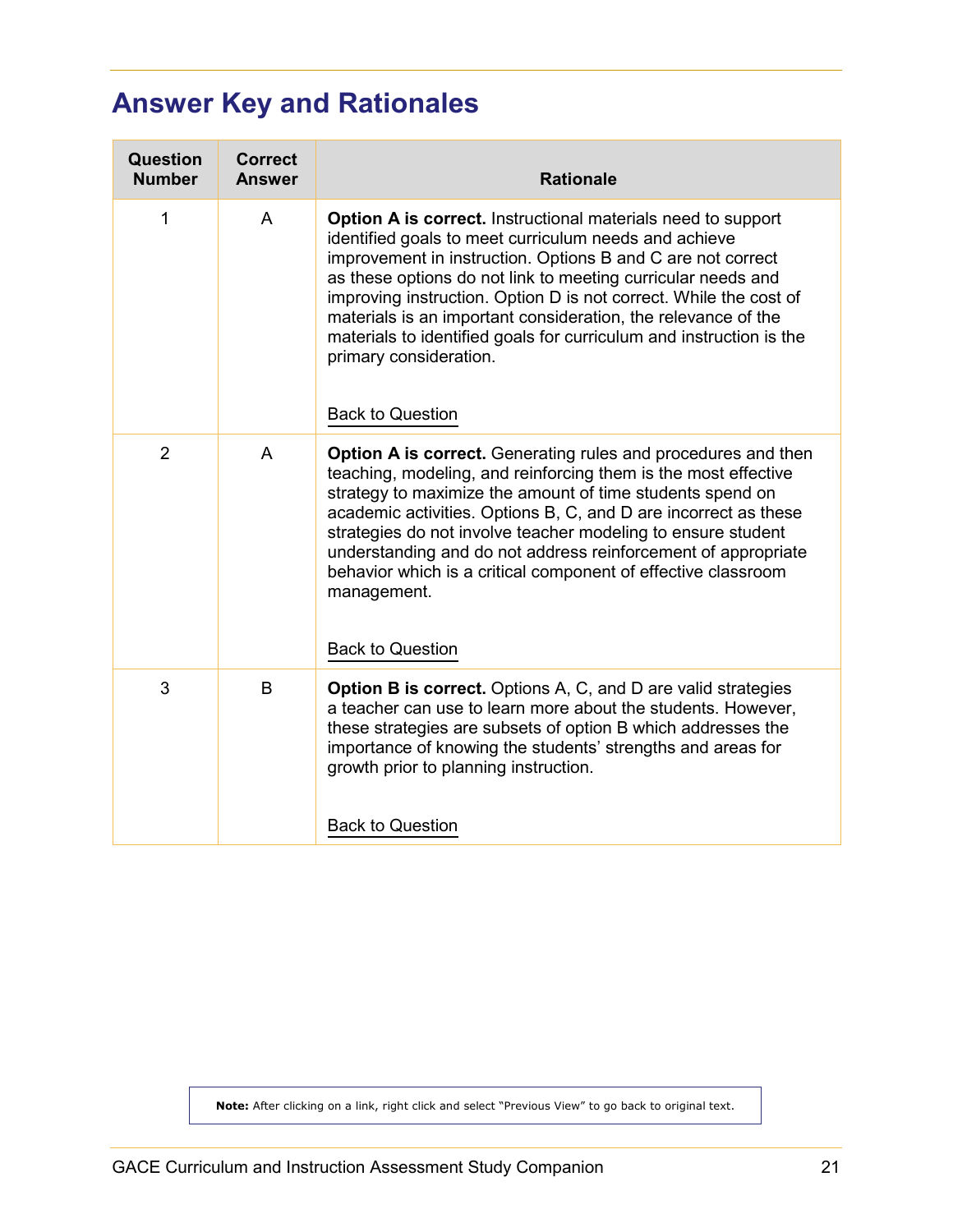# <span id="page-20-1"></span><span id="page-20-0"></span>**Answer Key and Rationales**

| <b>Question</b><br><b>Number</b> | <b>Correct</b><br><b>Answer</b> | <b>Rationale</b>                                                                                                                                                                                                                                                                                                                                                                                                                                                                                                       |
|----------------------------------|---------------------------------|------------------------------------------------------------------------------------------------------------------------------------------------------------------------------------------------------------------------------------------------------------------------------------------------------------------------------------------------------------------------------------------------------------------------------------------------------------------------------------------------------------------------|
| 1                                | A                               | Option A is correct. Instructional materials need to support<br>identified goals to meet curriculum needs and achieve<br>improvement in instruction. Options B and C are not correct<br>as these options do not link to meeting curricular needs and<br>improving instruction. Option D is not correct. While the cost of<br>materials is an important consideration, the relevance of the<br>materials to identified goals for curriculum and instruction is the<br>primary consideration.<br><b>Back to Question</b> |
| $\overline{2}$                   | A                               | <b>Option A is correct.</b> Generating rules and procedures and then<br>teaching, modeling, and reinforcing them is the most effective<br>strategy to maximize the amount of time students spend on<br>academic activities. Options B, C, and D are incorrect as these<br>strategies do not involve teacher modeling to ensure student<br>understanding and do not address reinforcement of appropriate<br>behavior which is a critical component of effective classroom<br>management.<br><b>Back to Question</b>     |
| 3                                | B                               | <b>Option B is correct.</b> Options A, C, and D are valid strategies<br>a teacher can use to learn more about the students. However,<br>these strategies are subsets of option B which addresses the<br>importance of knowing the students' strengths and areas for<br>growth prior to planning instruction.<br><b>Back to Question</b>                                                                                                                                                                                |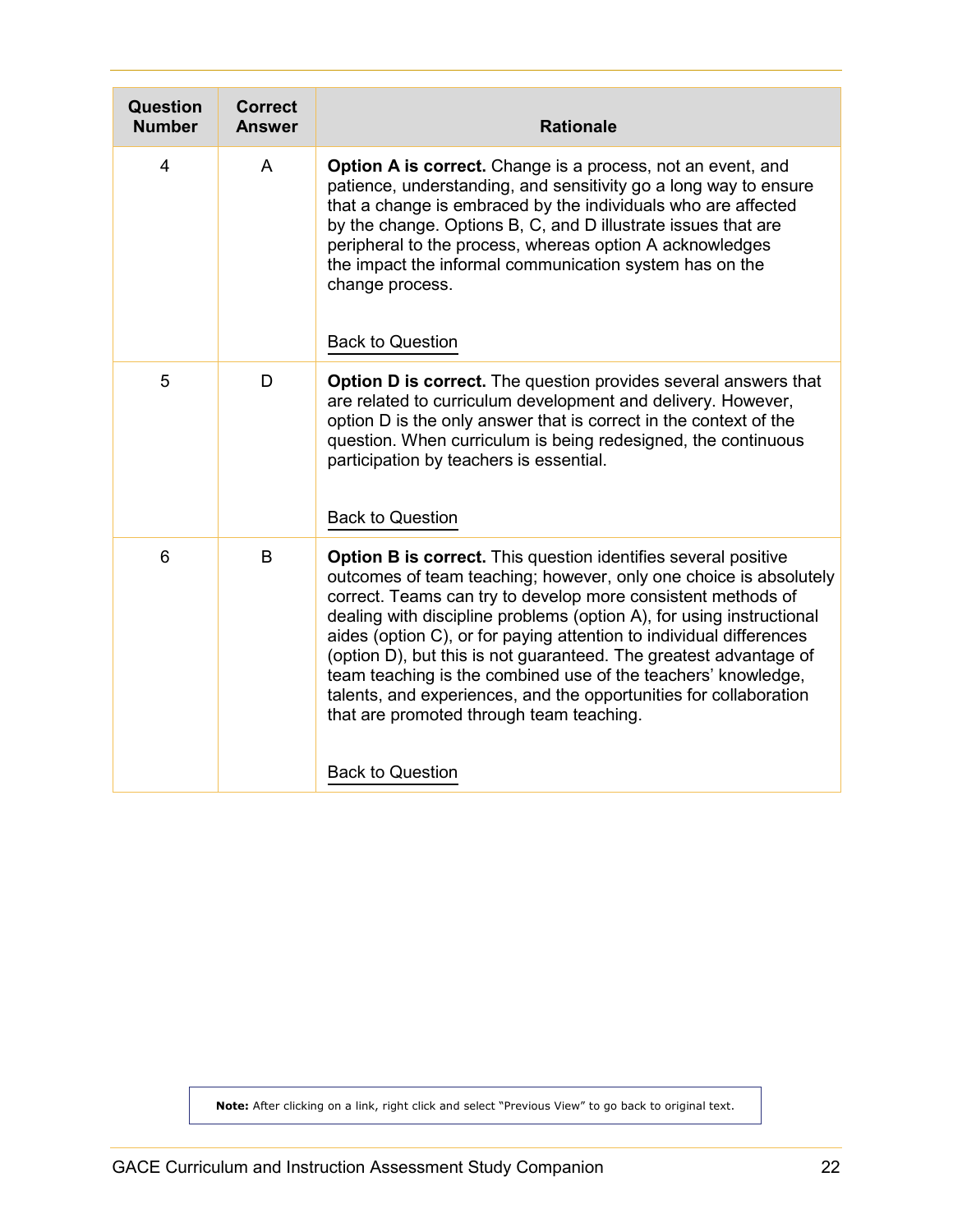<span id="page-21-0"></span>

| <b>Question</b><br><b>Number</b> | <b>Correct</b><br><b>Answer</b> | <b>Rationale</b>                                                                                                                                                                                                                                                                                                                                                                                                                                                                                                                                                                                                                            |
|----------------------------------|---------------------------------|---------------------------------------------------------------------------------------------------------------------------------------------------------------------------------------------------------------------------------------------------------------------------------------------------------------------------------------------------------------------------------------------------------------------------------------------------------------------------------------------------------------------------------------------------------------------------------------------------------------------------------------------|
| $\overline{4}$                   | A                               | <b>Option A is correct.</b> Change is a process, not an event, and<br>patience, understanding, and sensitivity go a long way to ensure<br>that a change is embraced by the individuals who are affected<br>by the change. Options B, C, and D illustrate issues that are<br>peripheral to the process, whereas option A acknowledges<br>the impact the informal communication system has on the<br>change process.<br><b>Back to Question</b>                                                                                                                                                                                               |
| 5                                | D                               | <b>Option D is correct.</b> The question provides several answers that<br>are related to curriculum development and delivery. However,<br>option D is the only answer that is correct in the context of the<br>question. When curriculum is being redesigned, the continuous<br>participation by teachers is essential.<br><b>Back to Question</b>                                                                                                                                                                                                                                                                                          |
| $6\phantom{1}6$                  | B                               | <b>Option B is correct.</b> This question identifies several positive<br>outcomes of team teaching; however, only one choice is absolutely<br>correct. Teams can try to develop more consistent methods of<br>dealing with discipline problems (option A), for using instructional<br>aides (option C), or for paying attention to individual differences<br>(option D), but this is not guaranteed. The greatest advantage of<br>team teaching is the combined use of the teachers' knowledge,<br>talents, and experiences, and the opportunities for collaboration<br>that are promoted through team teaching.<br><b>Back to Question</b> |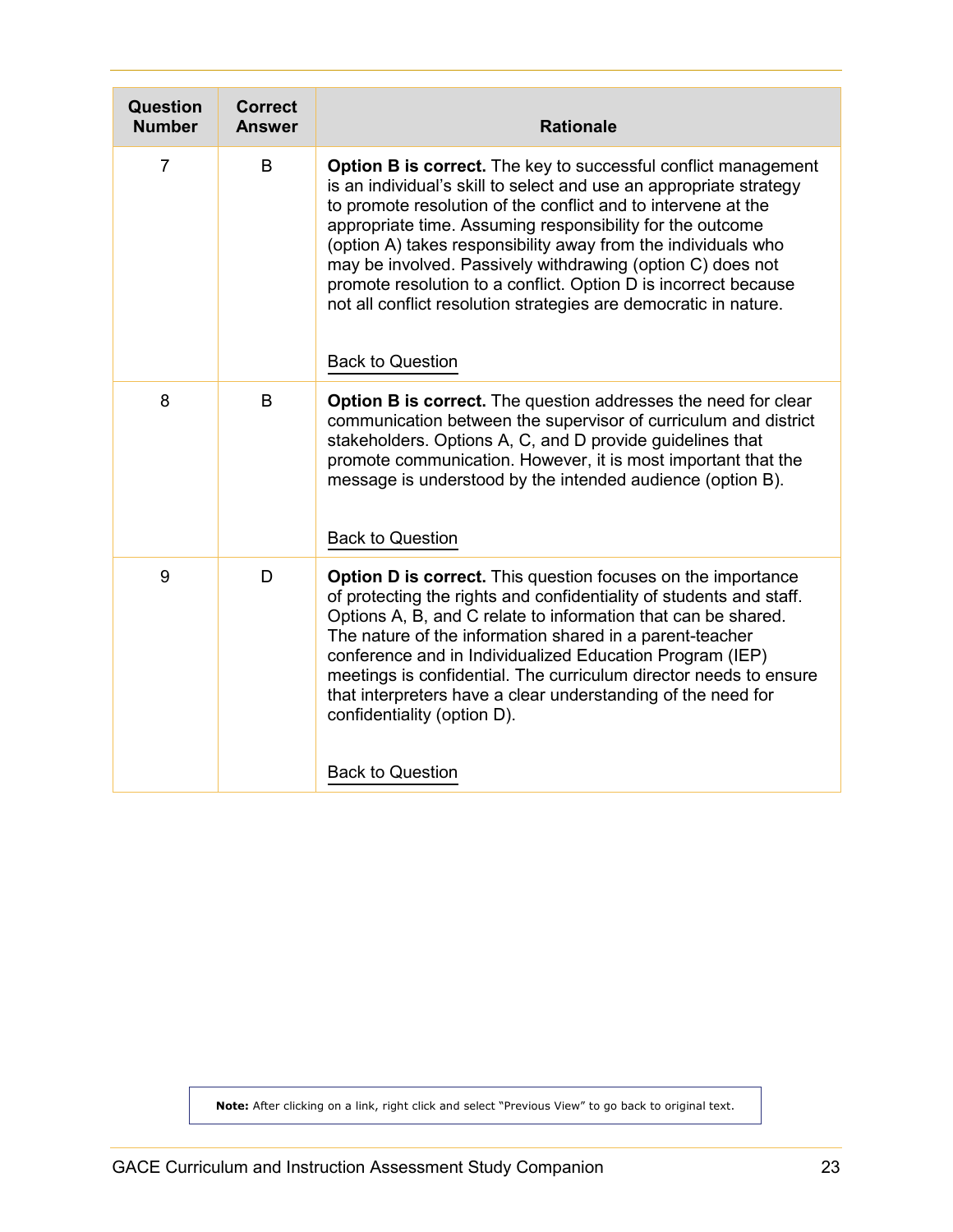<span id="page-22-0"></span>

| Question<br><b>Number</b> | <b>Correct</b><br><b>Answer</b> | <b>Rationale</b>                                                                                                                                                                                                                                                                                                                                                                                                                                                                                                                                                           |
|---------------------------|---------------------------------|----------------------------------------------------------------------------------------------------------------------------------------------------------------------------------------------------------------------------------------------------------------------------------------------------------------------------------------------------------------------------------------------------------------------------------------------------------------------------------------------------------------------------------------------------------------------------|
| $\overline{7}$            | B                               | <b>Option B is correct.</b> The key to successful conflict management<br>is an individual's skill to select and use an appropriate strategy<br>to promote resolution of the conflict and to intervene at the<br>appropriate time. Assuming responsibility for the outcome<br>(option A) takes responsibility away from the individuals who<br>may be involved. Passively withdrawing (option C) does not<br>promote resolution to a conflict. Option D is incorrect because<br>not all conflict resolution strategies are democratic in nature.<br><b>Back to Question</b> |
| 8                         | B                               | <b>Option B is correct.</b> The question addresses the need for clear<br>communication between the supervisor of curriculum and district<br>stakeholders. Options A, C, and D provide guidelines that<br>promote communication. However, it is most important that the<br>message is understood by the intended audience (option B).<br><b>Back to Question</b>                                                                                                                                                                                                            |
| 9                         | D                               | <b>Option D is correct.</b> This question focuses on the importance<br>of protecting the rights and confidentiality of students and staff.<br>Options A, B, and C relate to information that can be shared.<br>The nature of the information shared in a parent-teacher<br>conference and in Individualized Education Program (IEP)<br>meetings is confidential. The curriculum director needs to ensure<br>that interpreters have a clear understanding of the need for<br>confidentiality (option D).<br><b>Back to Question</b>                                         |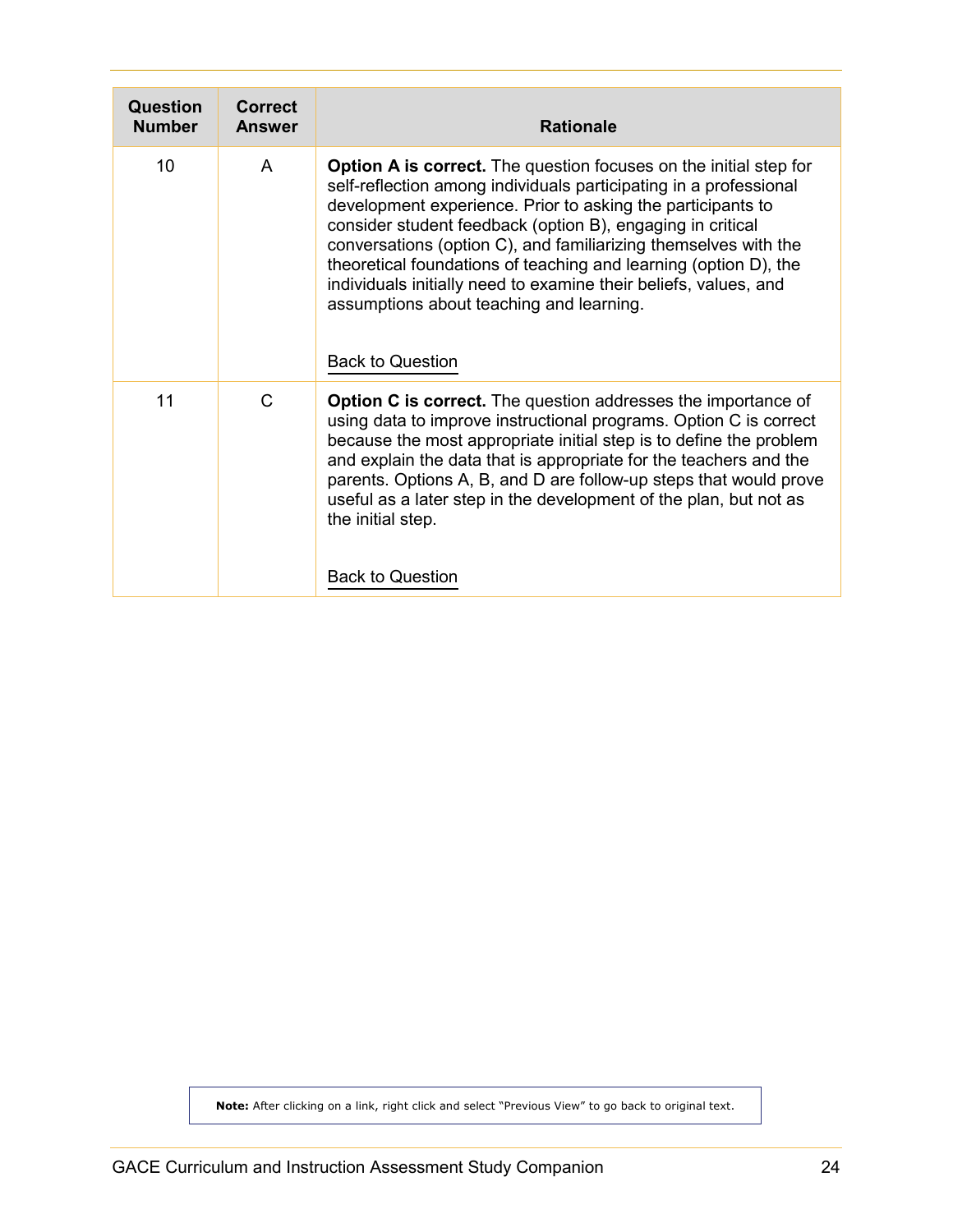<span id="page-23-0"></span>

| <b>Question</b><br><b>Number</b> | <b>Correct</b><br><b>Answer</b> | <b>Rationale</b>                                                                                                                                                                                                                                                                                                                                                                                                                                                                                                                                             |
|----------------------------------|---------------------------------|--------------------------------------------------------------------------------------------------------------------------------------------------------------------------------------------------------------------------------------------------------------------------------------------------------------------------------------------------------------------------------------------------------------------------------------------------------------------------------------------------------------------------------------------------------------|
| 10                               | A                               | <b>Option A is correct.</b> The question focuses on the initial step for<br>self-reflection among individuals participating in a professional<br>development experience. Prior to asking the participants to<br>consider student feedback (option B), engaging in critical<br>conversations (option C), and familiarizing themselves with the<br>theoretical foundations of teaching and learning (option D), the<br>individuals initially need to examine their beliefs, values, and<br>assumptions about teaching and learning.<br><b>Back to Question</b> |
| 11                               | C                               | <b>Option C is correct.</b> The question addresses the importance of<br>using data to improve instructional programs. Option C is correct<br>because the most appropriate initial step is to define the problem<br>and explain the data that is appropriate for the teachers and the<br>parents. Options A, B, and D are follow-up steps that would prove<br>useful as a later step in the development of the plan, but not as<br>the initial step.<br><b>Back to Question</b>                                                                               |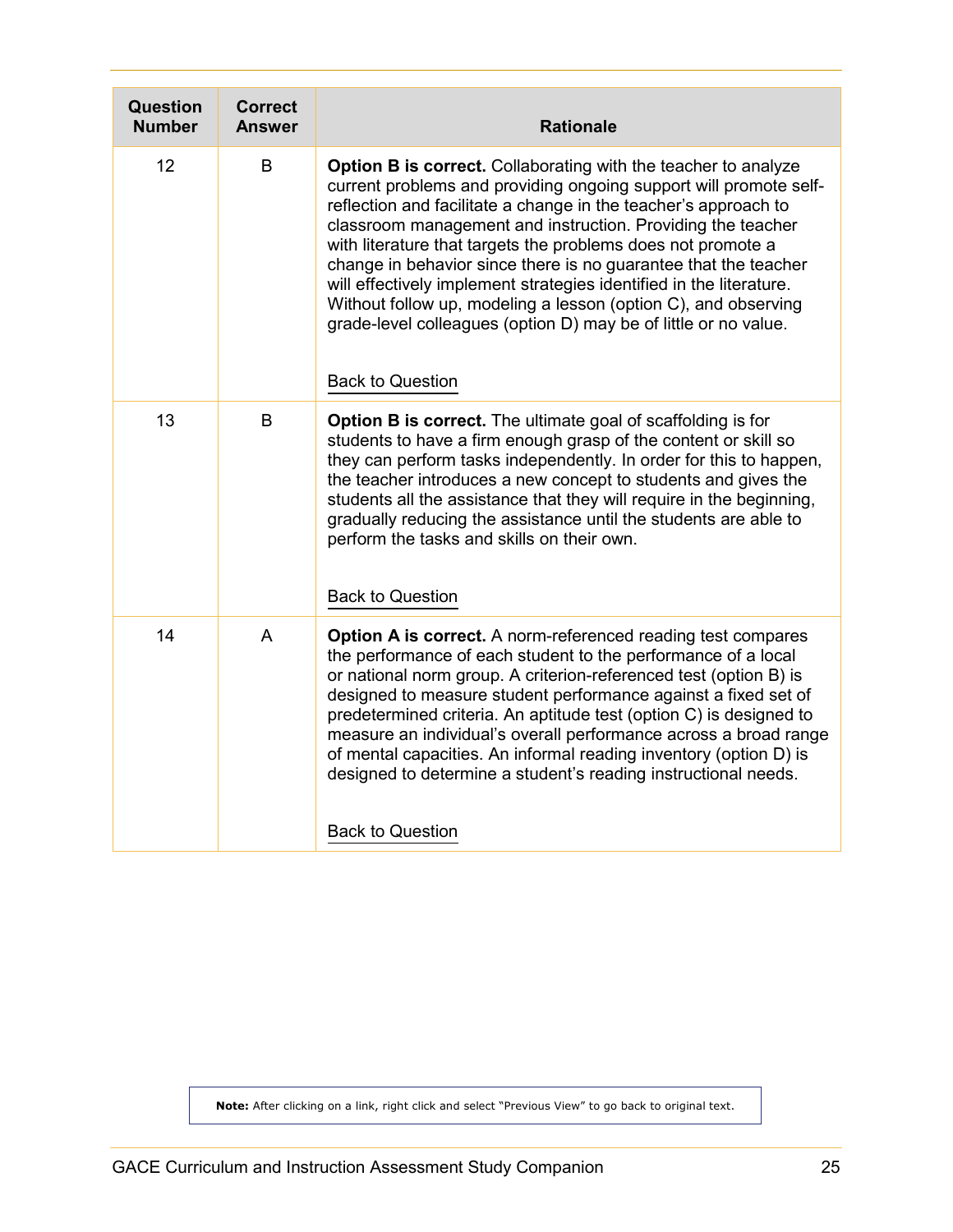<span id="page-24-0"></span>

| Question<br><b>Number</b> | <b>Correct</b><br><b>Answer</b> | <b>Rationale</b>                                                                                                                                                                                                                                                                                                                                                                                                                                                                                                                                                                                                                                       |
|---------------------------|---------------------------------|--------------------------------------------------------------------------------------------------------------------------------------------------------------------------------------------------------------------------------------------------------------------------------------------------------------------------------------------------------------------------------------------------------------------------------------------------------------------------------------------------------------------------------------------------------------------------------------------------------------------------------------------------------|
| 12                        | B                               | <b>Option B is correct.</b> Collaborating with the teacher to analyze<br>current problems and providing ongoing support will promote self-<br>reflection and facilitate a change in the teacher's approach to<br>classroom management and instruction. Providing the teacher<br>with literature that targets the problems does not promote a<br>change in behavior since there is no guarantee that the teacher<br>will effectively implement strategies identified in the literature.<br>Without follow up, modeling a lesson (option C), and observing<br>grade-level colleagues (option D) may be of little or no value.<br><b>Back to Question</b> |
| 13                        | B                               | <b>Option B is correct.</b> The ultimate goal of scaffolding is for<br>students to have a firm enough grasp of the content or skill so<br>they can perform tasks independently. In order for this to happen,<br>the teacher introduces a new concept to students and gives the<br>students all the assistance that they will require in the beginning,<br>gradually reducing the assistance until the students are able to<br>perform the tasks and skills on their own.<br><b>Back to Question</b>                                                                                                                                                    |
| 14                        | A                               | <b>Option A is correct.</b> A norm-referenced reading test compares<br>the performance of each student to the performance of a local<br>or national norm group. A criterion-referenced test (option B) is<br>designed to measure student performance against a fixed set of<br>predetermined criteria. An aptitude test (option C) is designed to<br>measure an individual's overall performance across a broad range<br>of mental capacities. An informal reading inventory (option D) is<br>designed to determine a student's reading instructional needs.<br><b>Back to Question</b>                                                                |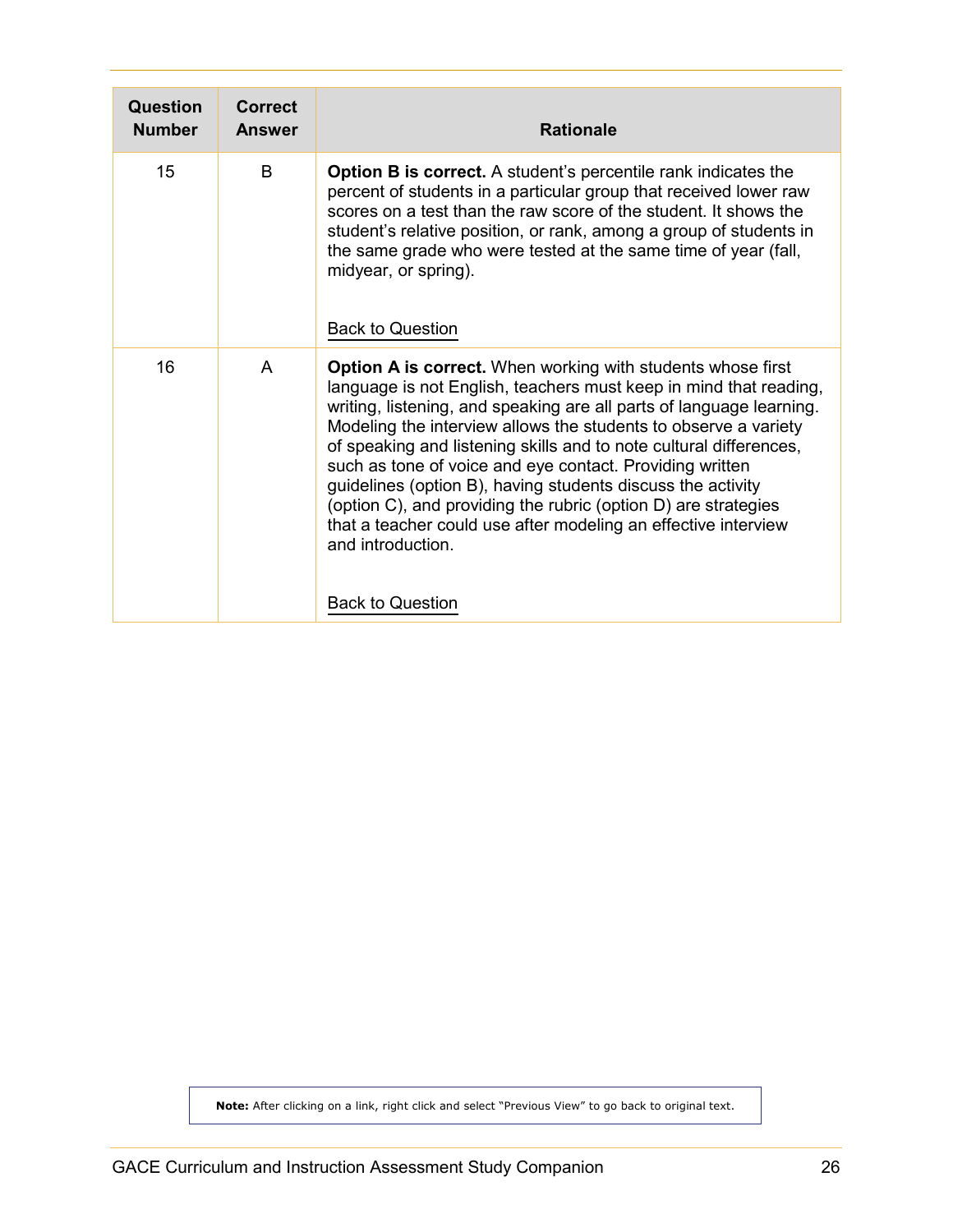<span id="page-25-0"></span>

| Question<br><b>Number</b> | Correct<br><b>Answer</b> | <b>Rationale</b>                                                                                                                                                                                                                                                                                                                                                                                                                                                                                                                                                                                                                                                        |
|---------------------------|--------------------------|-------------------------------------------------------------------------------------------------------------------------------------------------------------------------------------------------------------------------------------------------------------------------------------------------------------------------------------------------------------------------------------------------------------------------------------------------------------------------------------------------------------------------------------------------------------------------------------------------------------------------------------------------------------------------|
| 15                        | <sub>B</sub>             | <b>Option B is correct.</b> A student's percentile rank indicates the<br>percent of students in a particular group that received lower raw<br>scores on a test than the raw score of the student. It shows the<br>student's relative position, or rank, among a group of students in<br>the same grade who were tested at the same time of year (fall,<br>midyear, or spring).<br><b>Back to Question</b>                                                                                                                                                                                                                                                               |
| 16                        | A                        | <b>Option A is correct.</b> When working with students whose first<br>language is not English, teachers must keep in mind that reading,<br>writing, listening, and speaking are all parts of language learning.<br>Modeling the interview allows the students to observe a variety<br>of speaking and listening skills and to note cultural differences,<br>such as tone of voice and eye contact. Providing written<br>guidelines (option B), having students discuss the activity<br>(option C), and providing the rubric (option D) are strategies<br>that a teacher could use after modeling an effective interview<br>and introduction.<br><b>Back to Question</b> |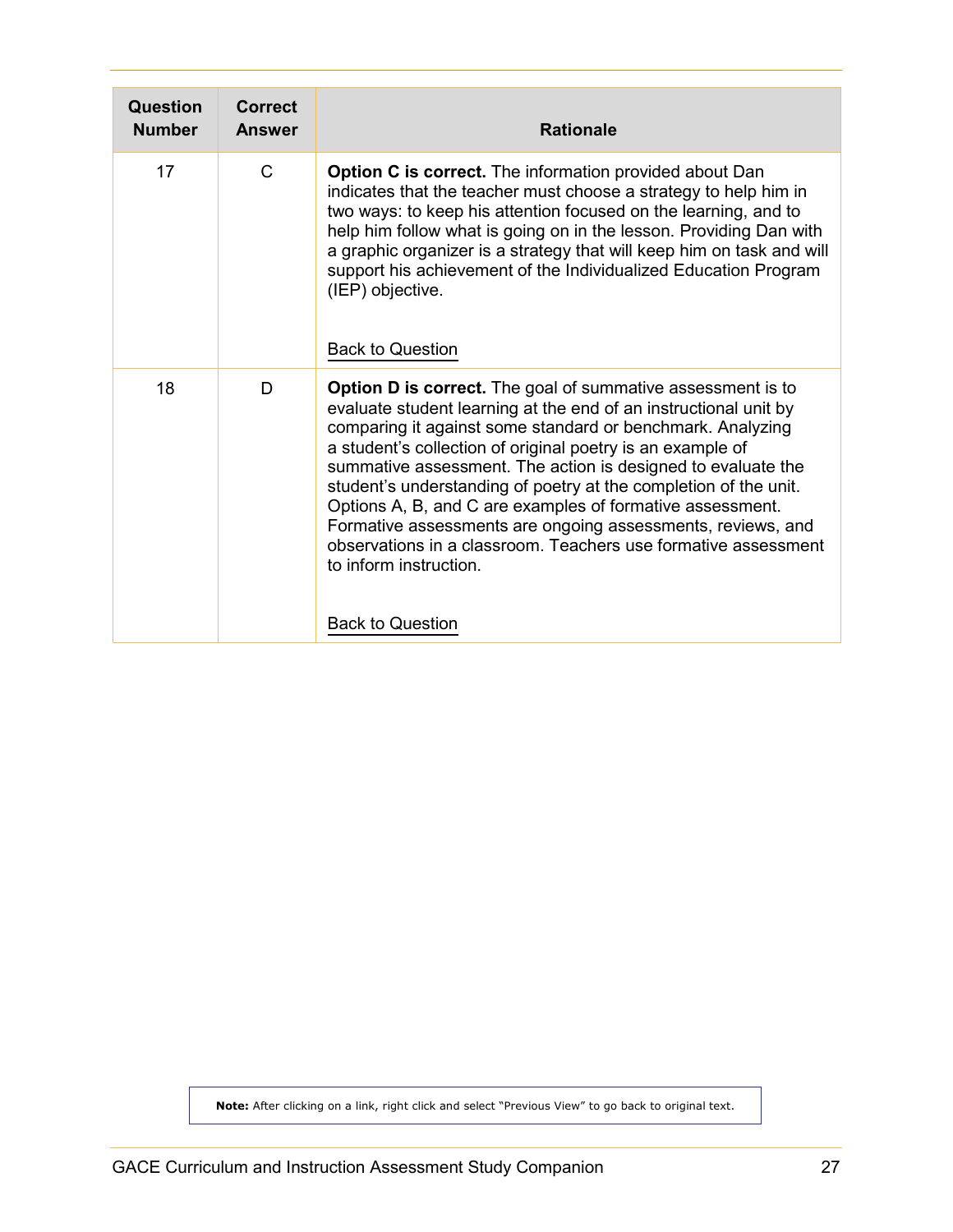<span id="page-26-0"></span>

| Question<br><b>Number</b> | Correct<br><b>Answer</b> | <b>Rationale</b>                                                                                                                                                                                                                                                                                                                                                                                                                                                                                                                                                                                                                                          |
|---------------------------|--------------------------|-----------------------------------------------------------------------------------------------------------------------------------------------------------------------------------------------------------------------------------------------------------------------------------------------------------------------------------------------------------------------------------------------------------------------------------------------------------------------------------------------------------------------------------------------------------------------------------------------------------------------------------------------------------|
| 17                        | $\mathsf{C}$             | Option C is correct. The information provided about Dan<br>indicates that the teacher must choose a strategy to help him in<br>two ways: to keep his attention focused on the learning, and to<br>help him follow what is going on in the lesson. Providing Dan with<br>a graphic organizer is a strategy that will keep him on task and will<br>support his achievement of the Individualized Education Program<br>(IEP) objective.<br><b>Back to Question</b>                                                                                                                                                                                           |
| 18                        | D                        | <b>Option D is correct.</b> The goal of summative assessment is to<br>evaluate student learning at the end of an instructional unit by<br>comparing it against some standard or benchmark. Analyzing<br>a student's collection of original poetry is an example of<br>summative assessment. The action is designed to evaluate the<br>student's understanding of poetry at the completion of the unit.<br>Options A, B, and C are examples of formative assessment.<br>Formative assessments are ongoing assessments, reviews, and<br>observations in a classroom. Teachers use formative assessment<br>to inform instruction.<br><b>Back to Question</b> |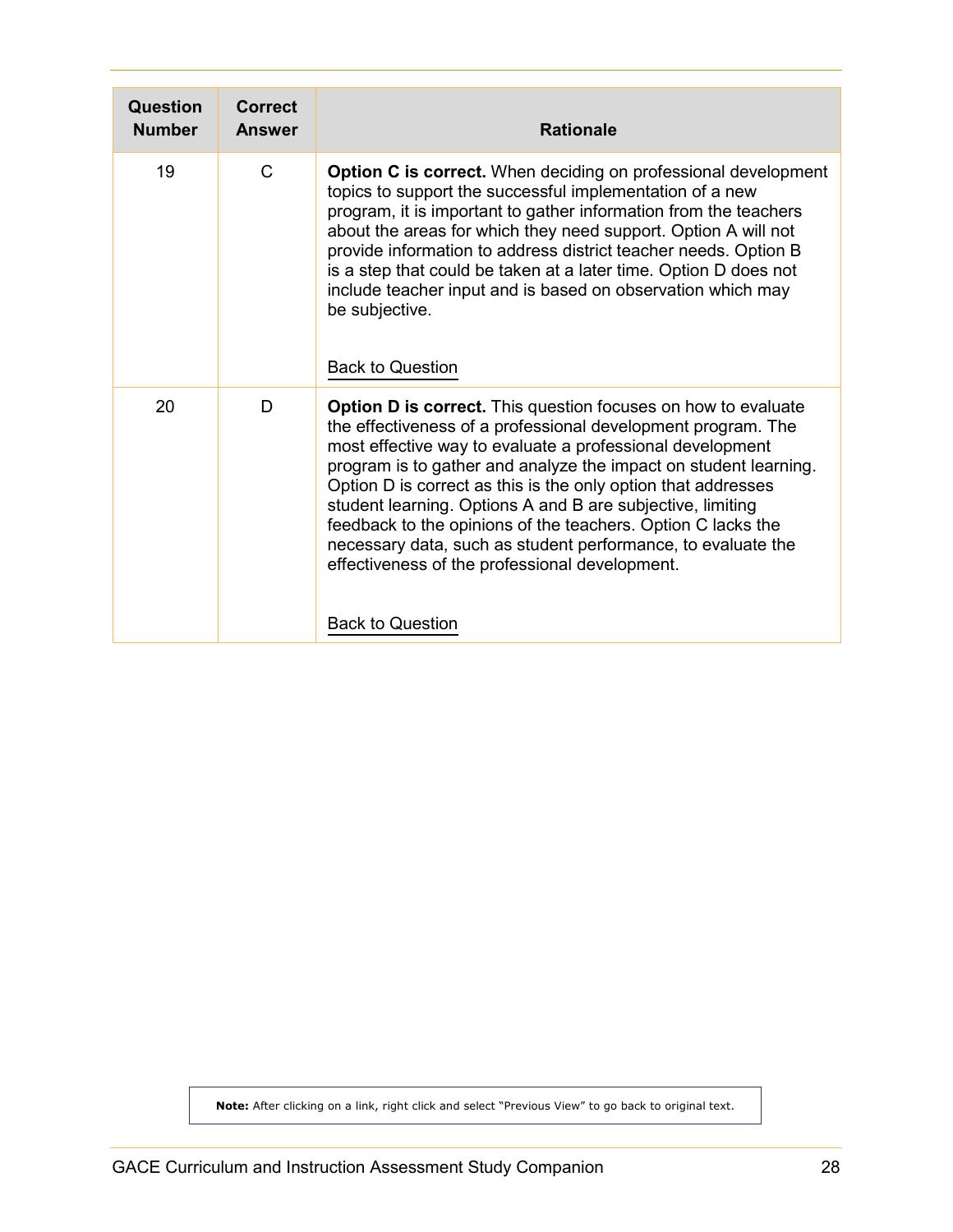<span id="page-27-0"></span>

| Question<br><b>Number</b> | Correct<br><b>Answer</b> | <b>Rationale</b>                                                                                                                                                                                                                                                                                                                                                                                                                                                                                                                                                                                                  |
|---------------------------|--------------------------|-------------------------------------------------------------------------------------------------------------------------------------------------------------------------------------------------------------------------------------------------------------------------------------------------------------------------------------------------------------------------------------------------------------------------------------------------------------------------------------------------------------------------------------------------------------------------------------------------------------------|
| 19                        | $\mathsf{C}$             | <b>Option C is correct.</b> When deciding on professional development<br>topics to support the successful implementation of a new<br>program, it is important to gather information from the teachers<br>about the areas for which they need support. Option A will not<br>provide information to address district teacher needs. Option B<br>is a step that could be taken at a later time. Option D does not<br>include teacher input and is based on observation which may<br>be subjective.<br><b>Back to Question</b>                                                                                        |
| 20                        | D                        | <b>Option D is correct.</b> This question focuses on how to evaluate<br>the effectiveness of a professional development program. The<br>most effective way to evaluate a professional development<br>program is to gather and analyze the impact on student learning.<br>Option D is correct as this is the only option that addresses<br>student learning. Options A and B are subjective, limiting<br>feedback to the opinions of the teachers. Option C lacks the<br>necessary data, such as student performance, to evaluate the<br>effectiveness of the professional development.<br><b>Back to Question</b> |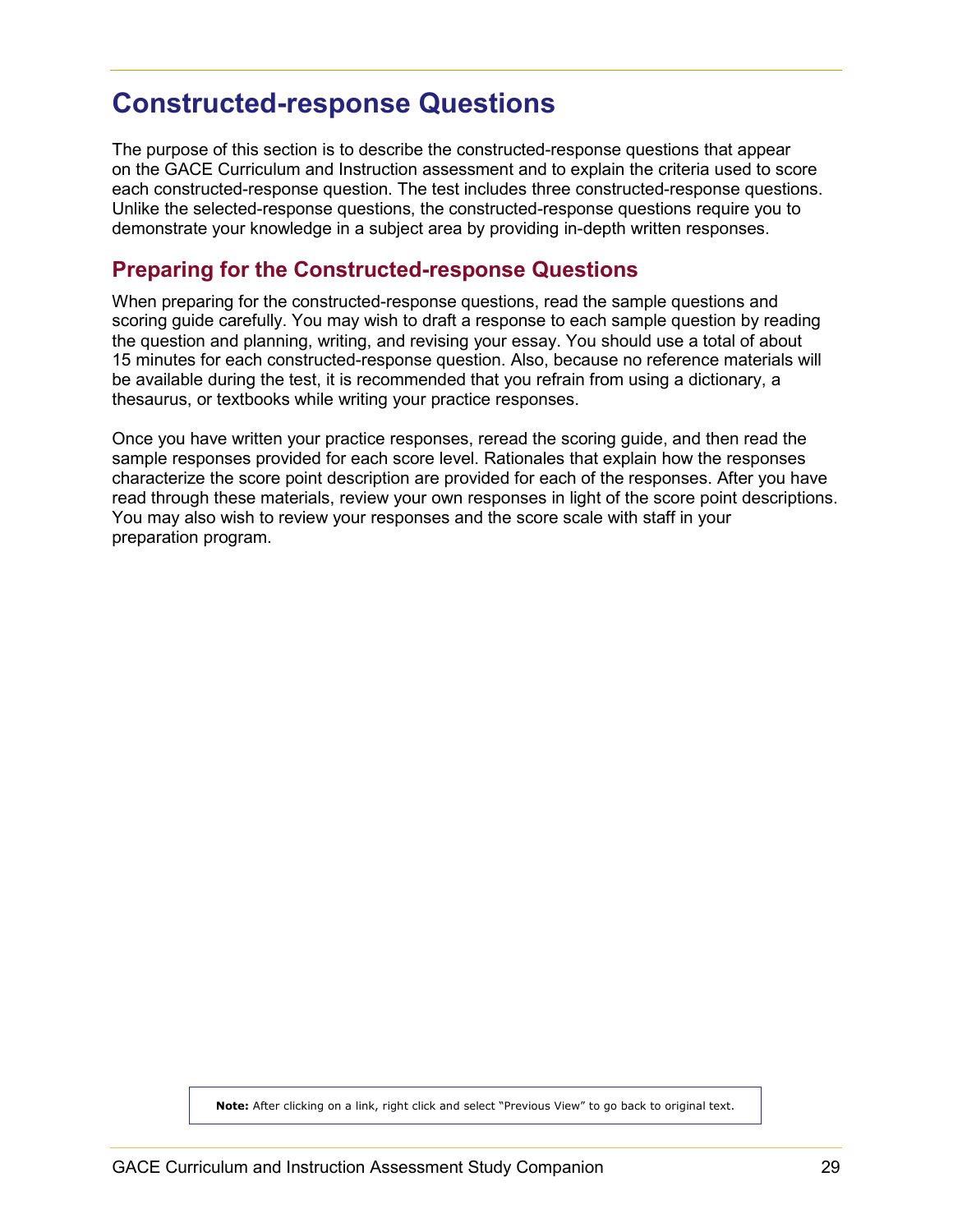# <span id="page-28-0"></span>**Constructed-response Questions**

The purpose of this section is to describe the constructed-response questions that appear on the GACE Curriculum and Instruction assessment and to explain the criteria used to score each constructed-response question. The test includes three constructed-response questions. Unlike the selected-response questions, the constructed-response questions require you to demonstrate your knowledge in a subject area by providing in-depth written responses.

### <span id="page-28-1"></span>**Preparing for the Constructed-response Questions**

When preparing for the constructed-response questions, read the sample questions and scoring guide carefully. You may wish to draft a response to each sample question by reading the question and planning, writing, and revising your essay. You should use a total of about 15 minutes for each constructed-response question. Also, because no reference materials will be available during the test, it is recommended that you refrain from using a dictionary, a thesaurus, or textbooks while writing your practice responses.

Once you have written your practice responses, reread the scoring guide, and then read the sample responses provided for each score level. Rationales that explain how the responses characterize the score point description are provided for each of the responses. After you have read through these materials, review your own responses in light of the score point descriptions. You may also wish to review your responses and the score scale with staff in your preparation program.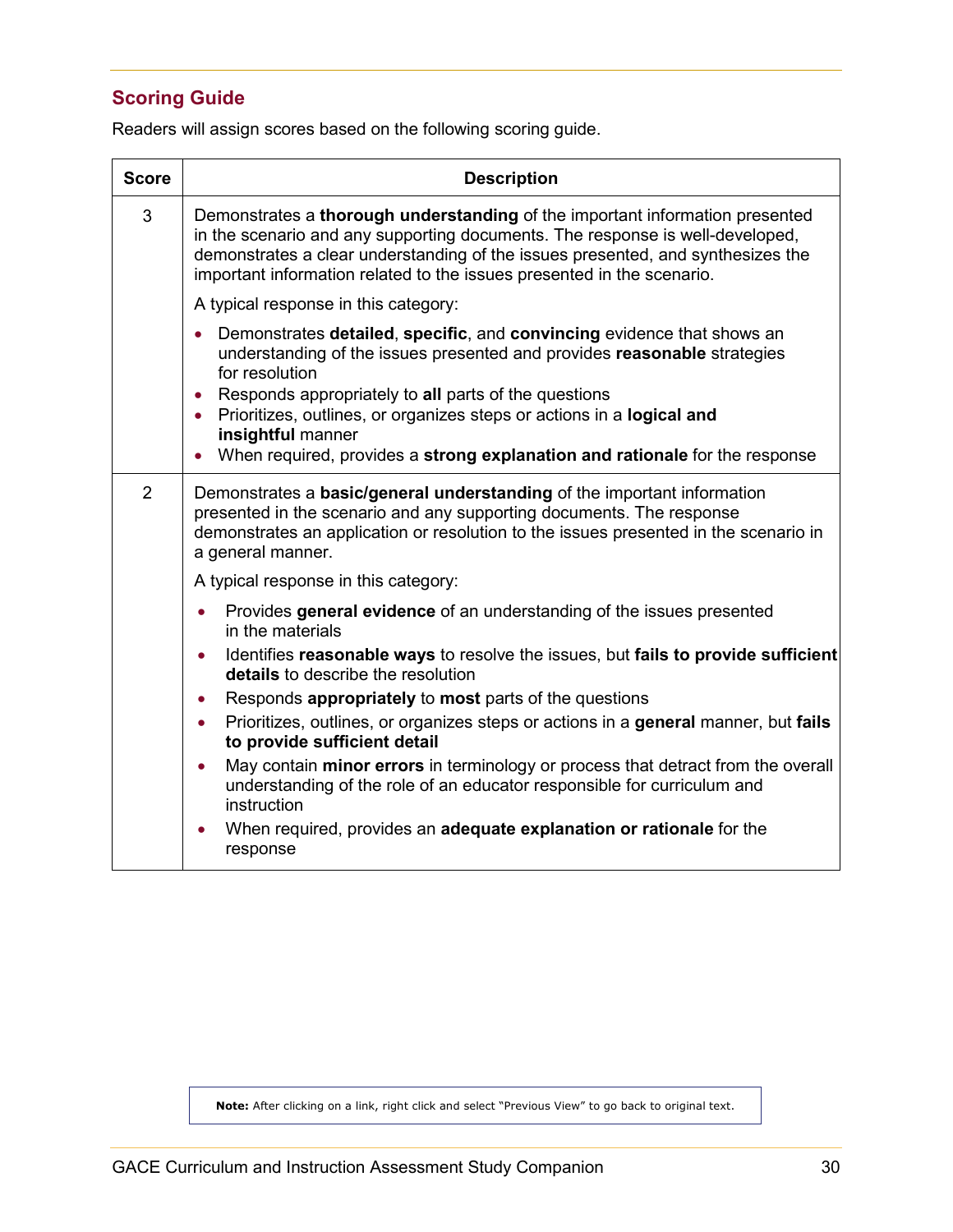# <span id="page-29-0"></span>**Scoring Guide**

Readers will assign scores based on the following scoring guide.

| <b>Score</b>   | <b>Description</b>                                                                                                                                                                                                                                                                                                         |
|----------------|----------------------------------------------------------------------------------------------------------------------------------------------------------------------------------------------------------------------------------------------------------------------------------------------------------------------------|
| 3              | Demonstrates a thorough understanding of the important information presented<br>in the scenario and any supporting documents. The response is well-developed,<br>demonstrates a clear understanding of the issues presented, and synthesizes the<br>important information related to the issues presented in the scenario. |
|                | A typical response in this category:                                                                                                                                                                                                                                                                                       |
|                | Demonstrates detailed, specific, and convincing evidence that shows an<br>$\bullet$<br>understanding of the issues presented and provides reasonable strategies<br>for resolution                                                                                                                                          |
|                | Responds appropriately to all parts of the questions<br>$\bullet$<br>• Prioritizes, outlines, or organizes steps or actions in a logical and<br>insightful manner                                                                                                                                                          |
|                | When required, provides a strong explanation and rationale for the response<br>$\bullet$                                                                                                                                                                                                                                   |
| $\overline{2}$ | Demonstrates a <b>basic/general understanding</b> of the important information<br>presented in the scenario and any supporting documents. The response<br>demonstrates an application or resolution to the issues presented in the scenario in<br>a general manner.                                                        |
|                | A typical response in this category:                                                                                                                                                                                                                                                                                       |
|                | Provides general evidence of an understanding of the issues presented<br>$\bullet$<br>in the materials                                                                                                                                                                                                                     |
|                | Identifies reasonable ways to resolve the issues, but fails to provide sufficient<br>$\bullet$<br>details to describe the resolution                                                                                                                                                                                       |
|                | Responds appropriately to most parts of the questions<br>$\bullet$                                                                                                                                                                                                                                                         |
|                | Prioritizes, outlines, or organizes steps or actions in a general manner, but fails<br>$\bullet$<br>to provide sufficient detail                                                                                                                                                                                           |
|                | May contain minor errors in terminology or process that detract from the overall<br>understanding of the role of an educator responsible for curriculum and<br>instruction                                                                                                                                                 |
|                | When required, provides an adequate explanation or rationale for the<br>response                                                                                                                                                                                                                                           |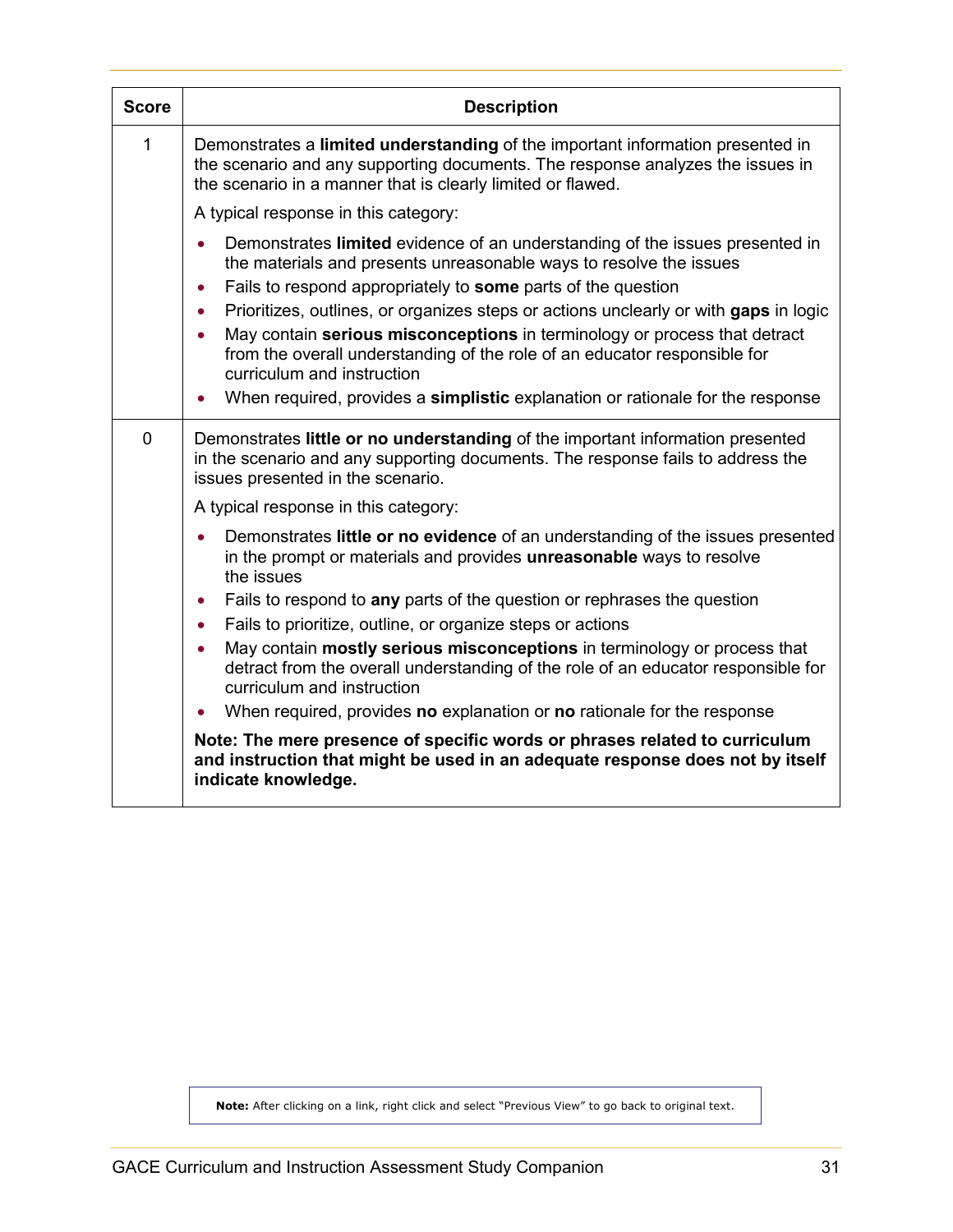| <b>Score</b> | <b>Description</b>                                                                                                                                                                                                                                                                             |
|--------------|------------------------------------------------------------------------------------------------------------------------------------------------------------------------------------------------------------------------------------------------------------------------------------------------|
| 1            | Demonstrates a limited understanding of the important information presented in<br>the scenario and any supporting documents. The response analyzes the issues in<br>the scenario in a manner that is clearly limited or flawed.                                                                |
|              | A typical response in this category:                                                                                                                                                                                                                                                           |
|              | Demonstrates limited evidence of an understanding of the issues presented in<br>$\bullet$<br>the materials and presents unreasonable ways to resolve the issues<br>Fails to respond appropriately to some parts of the question<br>$\bullet$                                                   |
|              | Prioritizes, outlines, or organizes steps or actions unclearly or with gaps in logic<br>$\bullet$<br>May contain serious misconceptions in terminology or process that detract<br>٠<br>from the overall understanding of the role of an educator responsible for<br>curriculum and instruction |
|              | When required, provides a simplistic explanation or rationale for the response<br>$\bullet$                                                                                                                                                                                                    |
| $\mathbf 0$  | Demonstrates little or no understanding of the important information presented<br>in the scenario and any supporting documents. The response fails to address the<br>issues presented in the scenario.                                                                                         |
|              | A typical response in this category:                                                                                                                                                                                                                                                           |
|              | Demonstrates little or no evidence of an understanding of the issues presented<br>in the prompt or materials and provides unreasonable ways to resolve<br>the issues                                                                                                                           |
|              | Fails to respond to any parts of the question or rephrases the question<br>$\bullet$                                                                                                                                                                                                           |
|              | Fails to prioritize, outline, or organize steps or actions<br>$\bullet$                                                                                                                                                                                                                        |
|              | May contain mostly serious misconceptions in terminology or process that<br>$\bullet$<br>detract from the overall understanding of the role of an educator responsible for<br>curriculum and instruction                                                                                       |
|              | When required, provides no explanation or no rationale for the response                                                                                                                                                                                                                        |
|              | Note: The mere presence of specific words or phrases related to curriculum<br>and instruction that might be used in an adequate response does not by itself<br>indicate knowledge.                                                                                                             |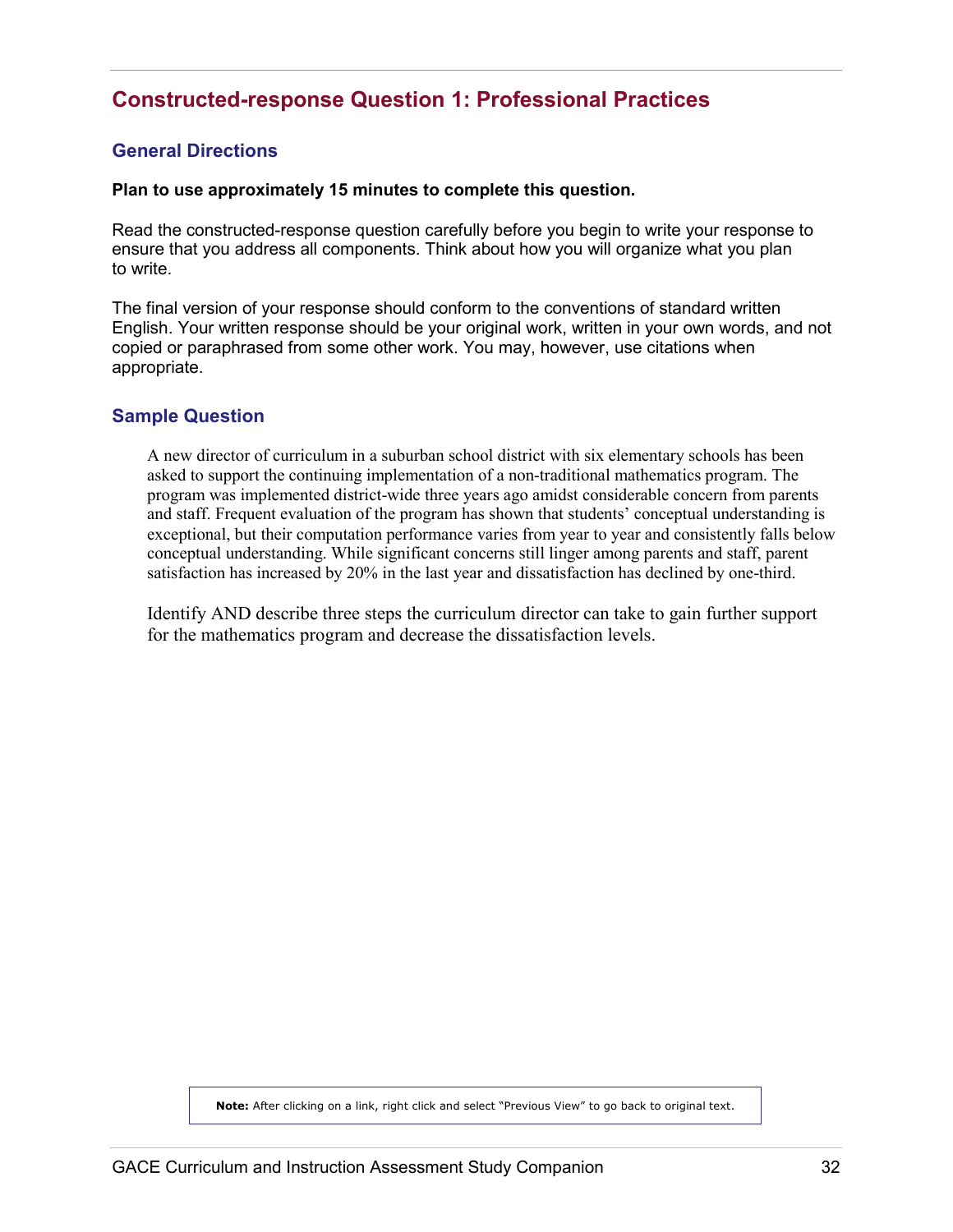# <span id="page-31-0"></span>**Constructed-response Question 1: Professional Practices**

#### <span id="page-31-1"></span>**General Directions**

#### **Plan to use approximately 15 minutes to complete this question.**

Read the constructed-response question carefully before you begin to write your response to ensure that you address all components. Think about how you will organize what you plan to write.

The final version of your response should conform to the conventions of standard written English. Your written response should be your original work, written in your own words, and not copied or paraphrased from some other work. You may, however, use citations when appropriate.

#### <span id="page-31-2"></span>**Sample Question**

A new director of curriculum in a suburban school district with six elementary schools has been asked to support the continuing implementation of a non-traditional mathematics program. The program was implemented district-wide three years ago amidst considerable concern from parents and staff. Frequent evaluation of the program has shown that students' conceptual understanding is exceptional, but their computation performance varies from year to year and consistently falls below conceptual understanding. While significant concerns still linger among parents and staff, parent satisfaction has increased by 20% in the last year and dissatisfaction has declined by one-third.

Identify AND describe three steps the curriculum director can take to gain further support for the mathematics program and decrease the dissatisfaction levels.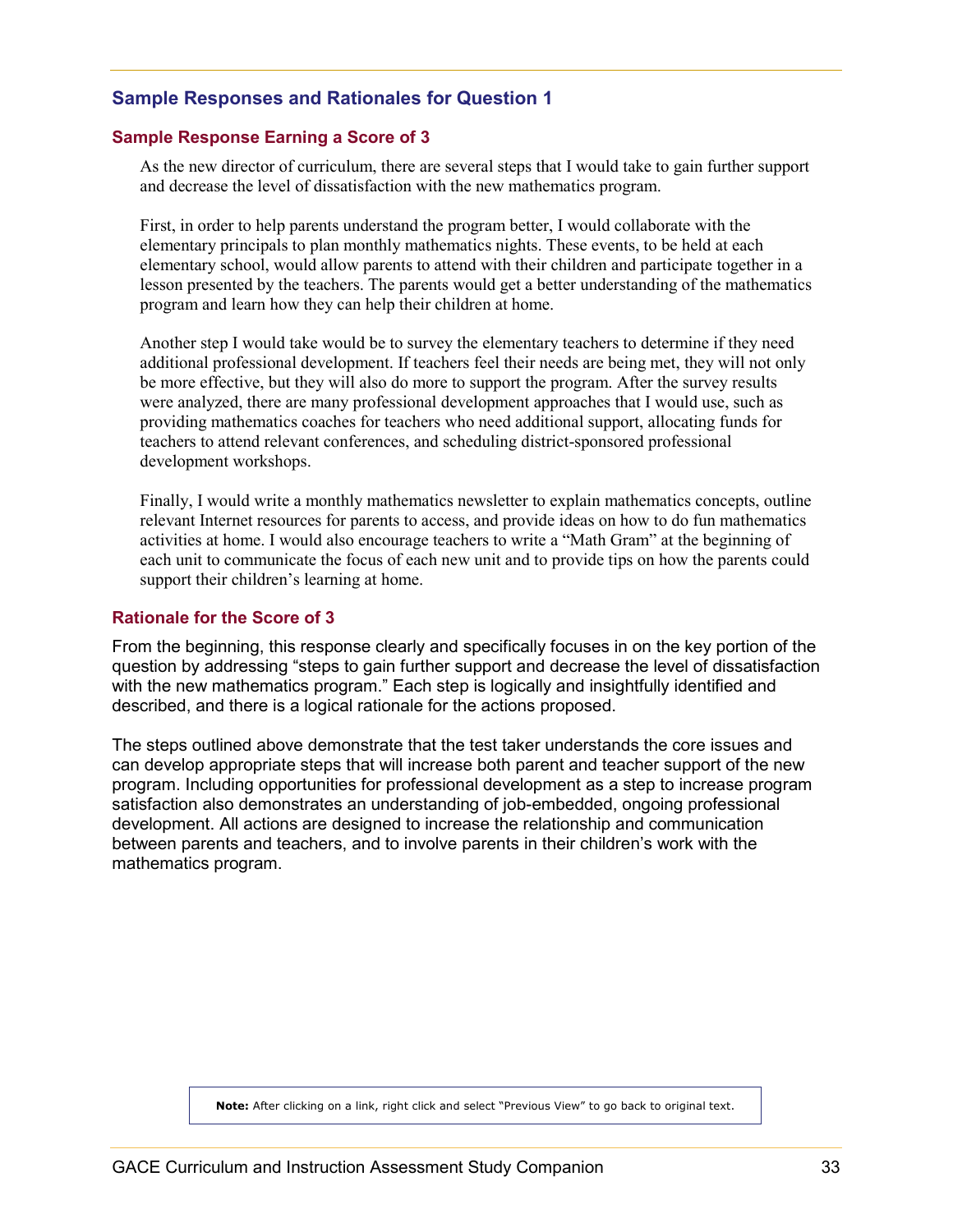#### <span id="page-32-0"></span>**Sample Responses and Rationales for Question 1**

#### **Sample Response Earning a Score of 3**

As the new director of curriculum, there are several steps that I would take to gain further support and decrease the level of dissatisfaction with the new mathematics program.

First, in order to help parents understand the program better, I would collaborate with the elementary principals to plan monthly mathematics nights. These events, to be held at each elementary school, would allow parents to attend with their children and participate together in a lesson presented by the teachers. The parents would get a better understanding of the mathematics program and learn how they can help their children at home.

Another step I would take would be to survey the elementary teachers to determine if they need additional professional development. If teachers feel their needs are being met, they will not only be more effective, but they will also do more to support the program. After the survey results were analyzed, there are many professional development approaches that I would use, such as providing mathematics coaches for teachers who need additional support, allocating funds for teachers to attend relevant conferences, and scheduling district-sponsored professional development workshops.

Finally, I would write a monthly mathematics newsletter to explain mathematics concepts, outline relevant Internet resources for parents to access, and provide ideas on how to do fun mathematics activities at home. I would also encourage teachers to write a "Math Gram" at the beginning of each unit to communicate the focus of each new unit and to provide tips on how the parents could support their children's learning at home.

#### **Rationale for the Score of 3**

From the beginning, this response clearly and specifically focuses in on the key portion of the question by addressing "steps to gain further support and decrease the level of dissatisfaction with the new mathematics program." Each step is logically and insightfully identified and described, and there is a logical rationale for the actions proposed.

The steps outlined above demonstrate that the test taker understands the core issues and can develop appropriate steps that will increase both parent and teacher support of the new program. Including opportunities for professional development as a step to increase program satisfaction also demonstrates an understanding of job-embedded, ongoing professional development. All actions are designed to increase the relationship and communication between parents and teachers, and to involve parents in their children's work with the mathematics program.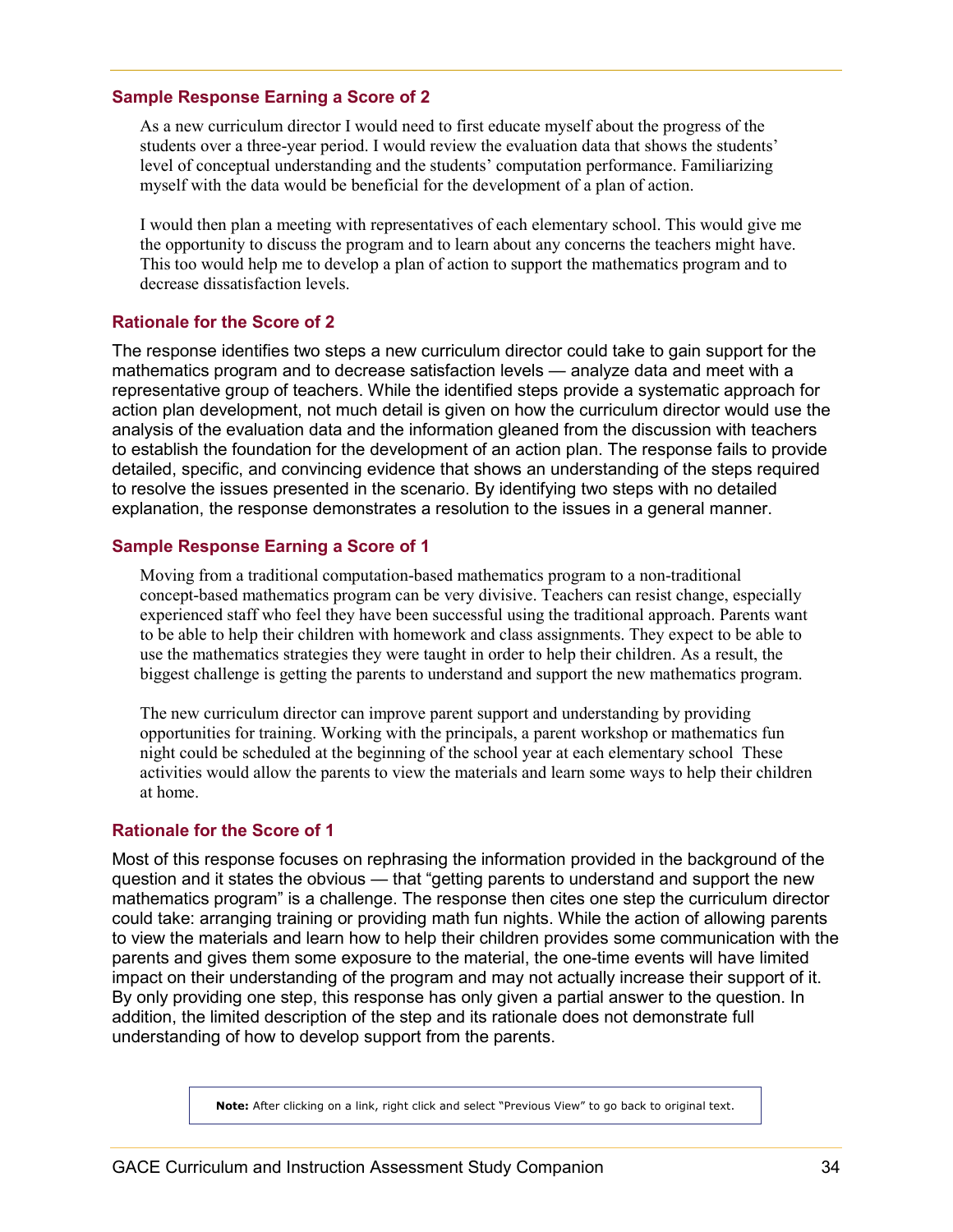#### **Sample Response Earning a Score of 2**

As a new curriculum director I would need to first educate myself about the progress of the students over a three-year period. I would review the evaluation data that shows the students' level of conceptual understanding and the students' computation performance. Familiarizing myself with the data would be beneficial for the development of a plan of action.

I would then plan a meeting with representatives of each elementary school. This would give me the opportunity to discuss the program and to learn about any concerns the teachers might have. This too would help me to develop a plan of action to support the mathematics program and to decrease dissatisfaction levels.

#### **Rationale for the Score of 2**

The response identifies two steps a new curriculum director could take to gain support for the mathematics program and to decrease satisfaction levels — analyze data and meet with a representative group of teachers. While the identified steps provide a systematic approach for action plan development, not much detail is given on how the curriculum director would use the analysis of the evaluation data and the information gleaned from the discussion with teachers to establish the foundation for the development of an action plan. The response fails to provide detailed, specific, and convincing evidence that shows an understanding of the steps required to resolve the issues presented in the scenario. By identifying two steps with no detailed explanation, the response demonstrates a resolution to the issues in a general manner.

#### **Sample Response Earning a Score of 1**

Moving from a traditional computation-based mathematics program to a non-traditional concept-based mathematics program can be very divisive. Teachers can resist change, especially experienced staff who feel they have been successful using the traditional approach. Parents want to be able to help their children with homework and class assignments. They expect to be able to use the mathematics strategies they were taught in order to help their children. As a result, the biggest challenge is getting the parents to understand and support the new mathematics program.

The new curriculum director can improve parent support and understanding by providing opportunities for training. Working with the principals, a parent workshop or mathematics fun night could be scheduled at the beginning of the school year at each elementary school These activities would allow the parents to view the materials and learn some ways to help their children at home.

#### **Rationale for the Score of 1**

Most of this response focuses on rephrasing the information provided in the background of the question and it states the obvious — that "getting parents to understand and support the new mathematics program" is a challenge. The response then cites one step the curriculum director could take: arranging training or providing math fun nights. While the action of allowing parents to view the materials and learn how to help their children provides some communication with the parents and gives them some exposure to the material, the one-time events will have limited impact on their understanding of the program and may not actually increase their support of it. By only providing one step, this response has only given a partial answer to the question. In addition, the limited description of the step and its rationale does not demonstrate full understanding of how to develop support from the parents.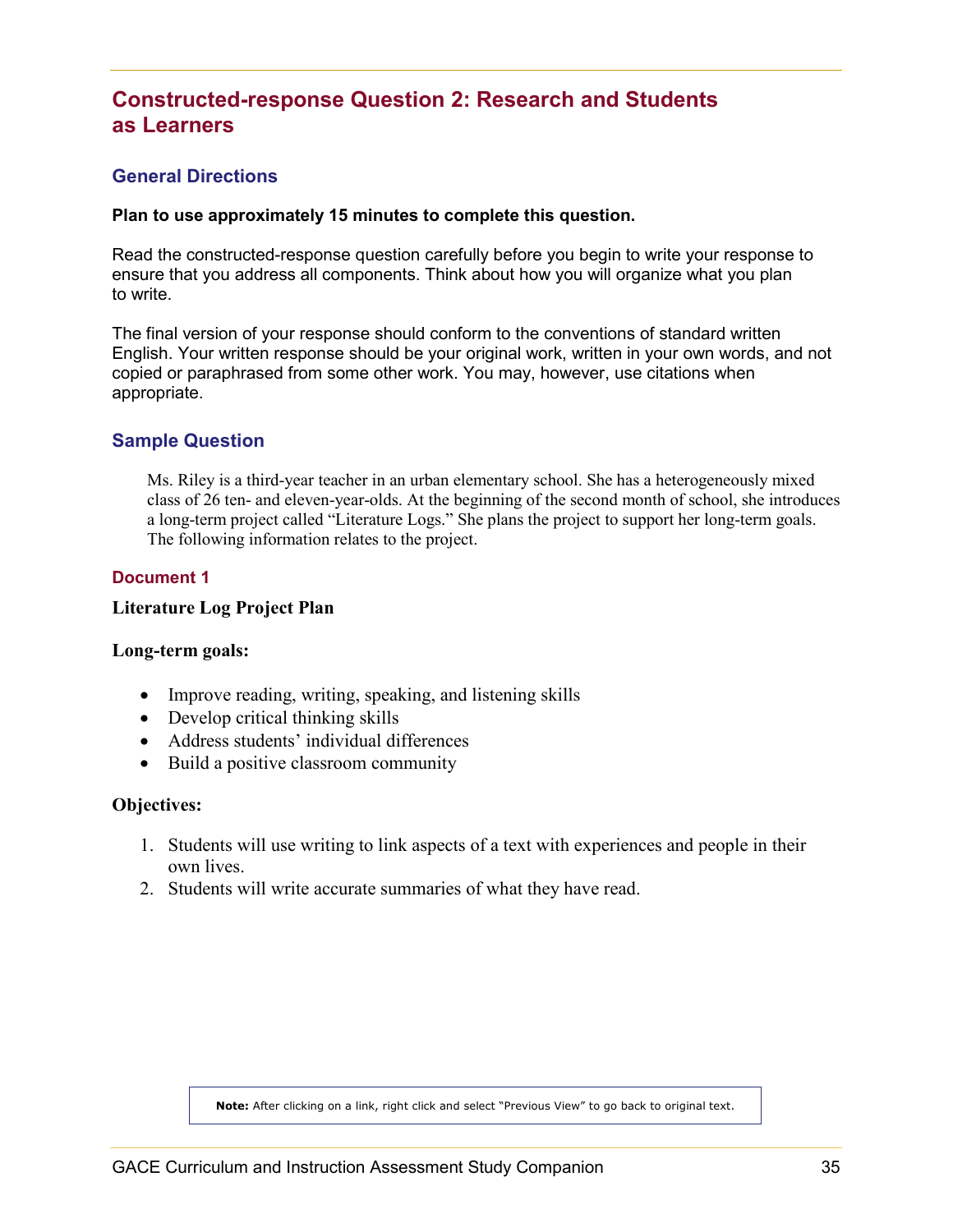# <span id="page-34-0"></span>**Constructed-response Question 2: Research and Students as Learners**

#### <span id="page-34-1"></span>**General Directions**

#### **Plan to use approximately 15 minutes to complete this question.**

Read the constructed-response question carefully before you begin to write your response to ensure that you address all components. Think about how you will organize what you plan to write.

The final version of your response should conform to the conventions of standard written English. Your written response should be your original work, written in your own words, and not copied or paraphrased from some other work. You may, however, use citations when appropriate.

#### <span id="page-34-2"></span>**Sample Question**

Ms. Riley is a third-year teacher in an urban elementary school. She has a heterogeneously mixed class of 26 ten- and eleven-year-olds. At the beginning of the second month of school, she introduces a long-term project called "Literature Logs." She plans the project to support her long-term goals. The following information relates to the project.

#### **Document 1**

#### **Literature Log Project Plan**

#### **Long-term goals:**

- Improve reading, writing, speaking, and listening skills
- Develop critical thinking skills
- Address students' individual differences
- Build a positive classroom community

#### **Objectives:**

- 1. Students will use writing to link aspects of a text with experiences and people in their own lives.
- 2. Students will write accurate summaries of what they have read.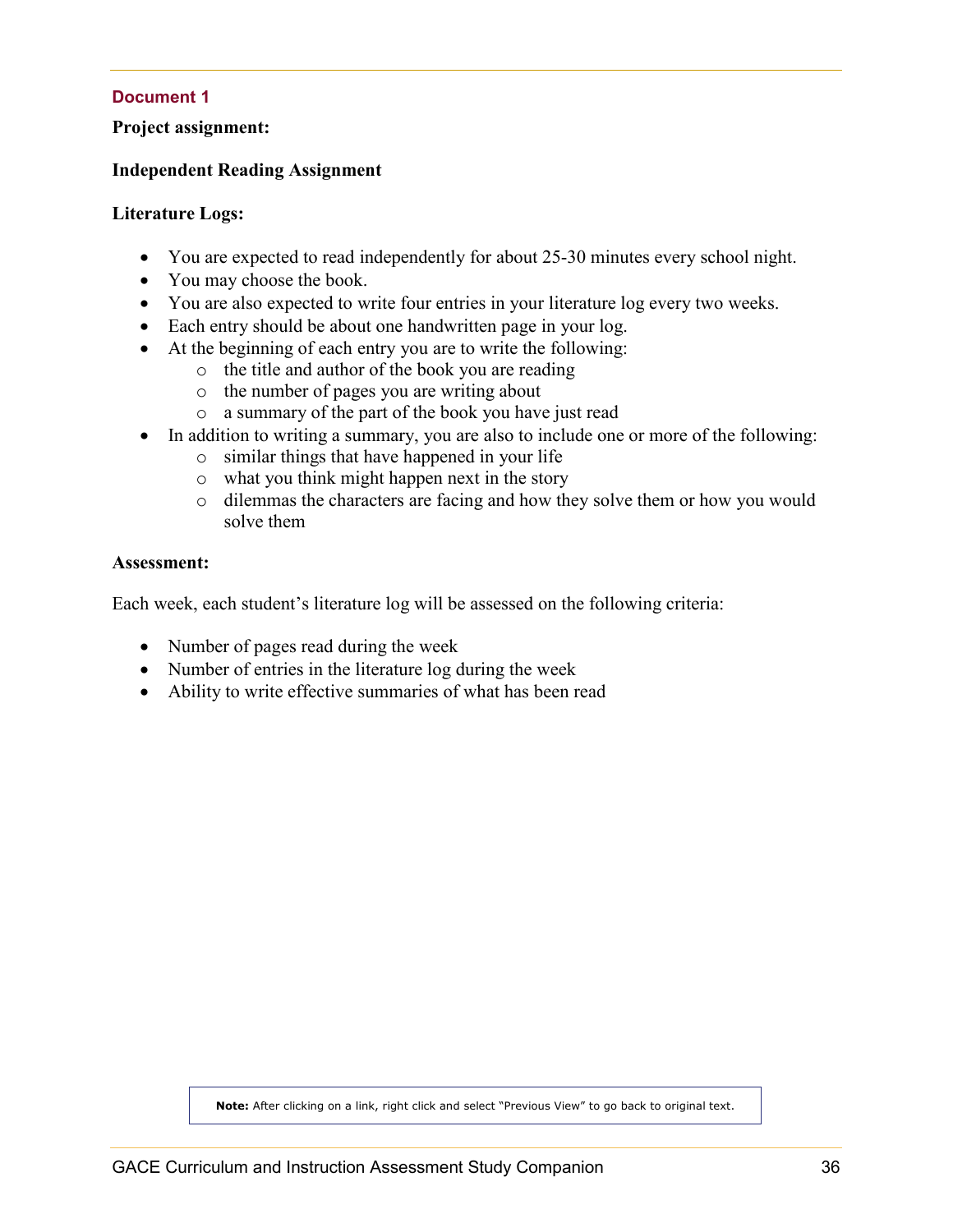#### **Document 1**

#### **Project assignment:**

#### **Independent Reading Assignment**

#### **Literature Logs:**

- You are expected to read independently for about 25-30 minutes every school night.
- You may choose the book.
- You are also expected to write four entries in your literature log every two weeks.
- Each entry should be about one handwritten page in your log.
- At the beginning of each entry you are to write the following:
	- o the title and author of the book you are reading
	- o the number of pages you are writing about
	- o a summary of the part of the book you have just read
- In addition to writing a summary, you are also to include one or more of the following:
	- o similar things that have happened in your life
	- o what you think might happen next in the story
	- o dilemmas the characters are facing and how they solve them or how you would solve them

#### **Assessment:**

Each week, each student's literature log will be assessed on the following criteria:

- Number of pages read during the week
- Number of entries in the literature log during the week
- Ability to write effective summaries of what has been read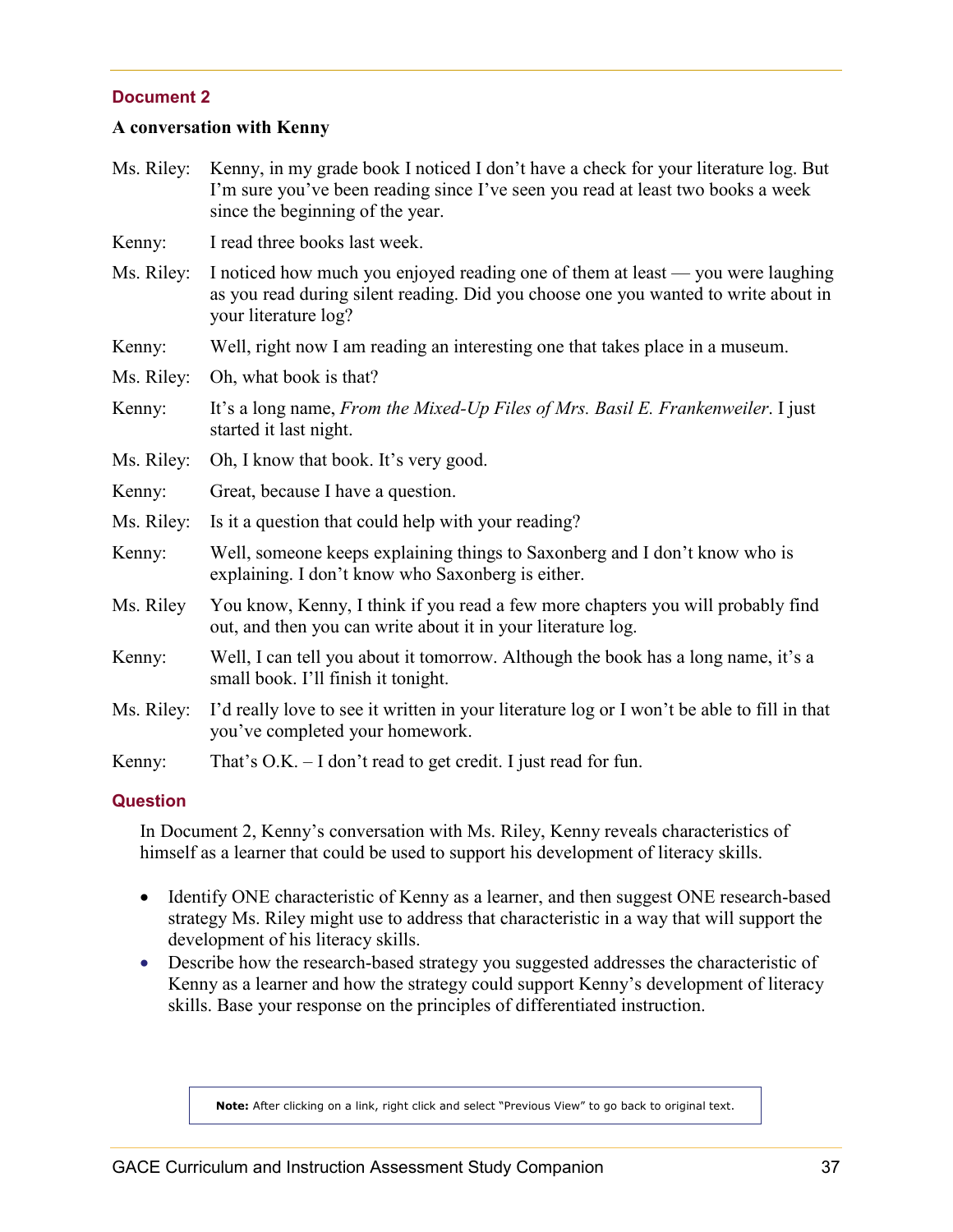#### **Document 2**

#### **A conversation with Kenny**

- Ms. Riley: Kenny, in my grade book I noticed I don't have a check for your literature log. But I'm sure you've been reading since I've seen you read at least two books a week since the beginning of the year.
- Kenny: I read three books last week.
- Ms. Riley: I noticed how much you enjoyed reading one of them at least you were laughing as you read during silent reading. Did you choose one you wanted to write about in your literature log?
- Kenny: Well, right now I am reading an interesting one that takes place in a museum.

Ms. Riley: Oh, what book is that?

- Kenny: It's a long name, *From the Mixed-Up Files of Mrs. Basil E. Frankenweiler*. I just started it last night.
- Ms. Riley: Oh, I know that book. It's very good.
- Kenny: Great, because I have a question.
- Ms. Riley: Is it a question that could help with your reading?
- Kenny: Well, someone keeps explaining things to Saxonberg and I don't know who is explaining. I don't know who Saxonberg is either.
- Ms. Riley You know, Kenny, I think if you read a few more chapters you will probably find out, and then you can write about it in your literature log.
- Kenny: Well, I can tell you about it tomorrow. Although the book has a long name, it's a small book. I'll finish it tonight.
- Ms. Riley: I'd really love to see it written in your literature log or I won't be able to fill in that you've completed your homework.
- Kenny: That's O.K. I don't read to get credit. I just read for fun.

#### **Question**

In Document 2, Kenny's conversation with Ms. Riley, Kenny reveals characteristics of himself as a learner that could be used to support his development of literacy skills.

- Identify ONE characteristic of Kenny as a learner, and then suggest ONE research-based strategy Ms. Riley might use to address that characteristic in a way that will support the development of his literacy skills.
- Describe how the research-based strategy you suggested addresses the characteristic of Kenny as a learner and how the strategy could support Kenny's development of literacy skills. Base your response on the principles of differentiated instruction.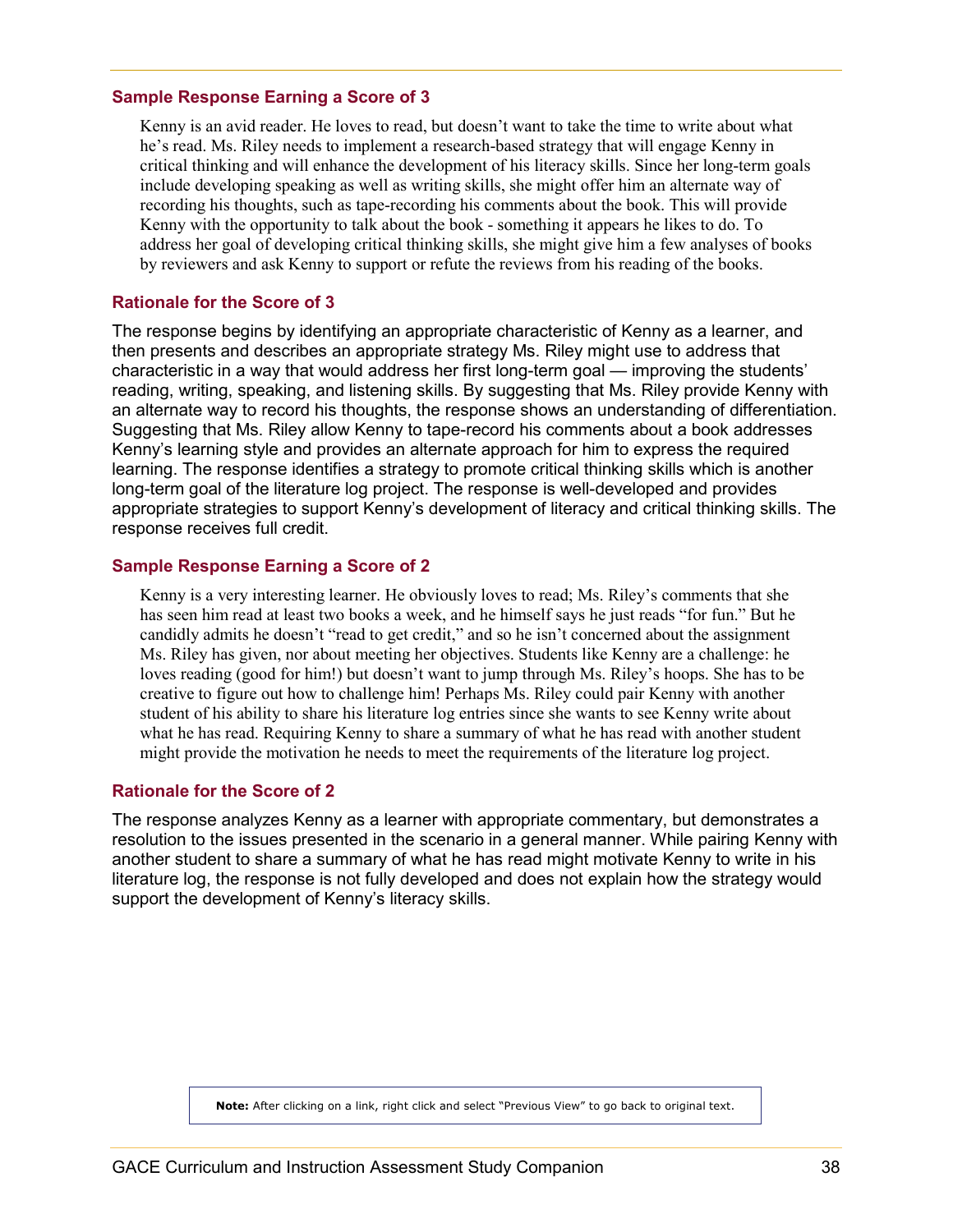#### **Sample Response Earning a Score of 3**

Kenny is an avid reader. He loves to read, but doesn't want to take the time to write about what he's read. Ms. Riley needs to implement a research-based strategy that will engage Kenny in critical thinking and will enhance the development of his literacy skills. Since her long-term goals include developing speaking as well as writing skills, she might offer him an alternate way of recording his thoughts, such as tape-recording his comments about the book. This will provide Kenny with the opportunity to talk about the book - something it appears he likes to do. To address her goal of developing critical thinking skills, she might give him a few analyses of books by reviewers and ask Kenny to support or refute the reviews from his reading of the books.

#### **Rationale for the Score of 3**

The response begins by identifying an appropriate characteristic of Kenny as a learner, and then presents and describes an appropriate strategy Ms. Riley might use to address that characteristic in a way that would address her first long-term goal — improving the students' reading, writing, speaking, and listening skills. By suggesting that Ms. Riley provide Kenny with an alternate way to record his thoughts, the response shows an understanding of differentiation. Suggesting that Ms. Riley allow Kenny to tape-record his comments about a book addresses Kenny's learning style and provides an alternate approach for him to express the required learning. The response identifies a strategy to promote critical thinking skills which is another long-term goal of the literature log project. The response is well-developed and provides appropriate strategies to support Kenny's development of literacy and critical thinking skills. The response receives full credit.

#### **Sample Response Earning a Score of 2**

Kenny is a very interesting learner. He obviously loves to read; Ms. Riley's comments that she has seen him read at least two books a week, and he himself says he just reads "for fun." But he candidly admits he doesn't "read to get credit," and so he isn't concerned about the assignment Ms. Riley has given, nor about meeting her objectives. Students like Kenny are a challenge: he loves reading (good for him!) but doesn't want to jump through Ms. Riley's hoops. She has to be creative to figure out how to challenge him! Perhaps Ms. Riley could pair Kenny with another student of his ability to share his literature log entries since she wants to see Kenny write about what he has read. Requiring Kenny to share a summary of what he has read with another student might provide the motivation he needs to meet the requirements of the literature log project.

#### **Rationale for the Score of 2**

The response analyzes Kenny as a learner with appropriate commentary, but demonstrates a resolution to the issues presented in the scenario in a general manner. While pairing Kenny with another student to share a summary of what he has read might motivate Kenny to write in his literature log, the response is not fully developed and does not explain how the strategy would support the development of Kenny's literacy skills.

**Note:** After clicking on a link, right click and select "Previous View" to go back to original text.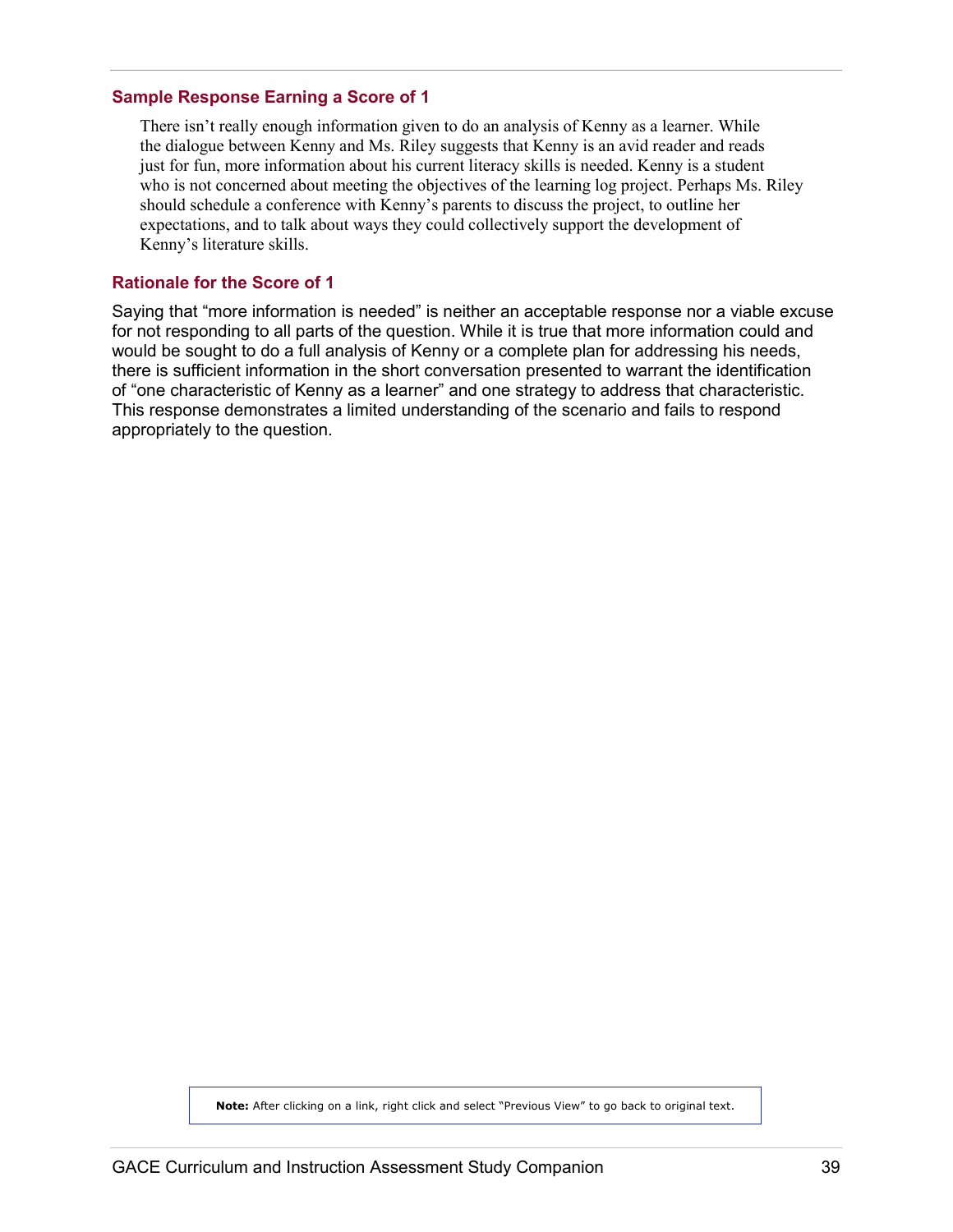#### **Sample Response Earning a Score of 1**

There isn't really enough information given to do an analysis of Kenny as a learner. While the dialogue between Kenny and Ms. Riley suggests that Kenny is an avid reader and reads just for fun, more information about his current literacy skills is needed. Kenny is a student who is not concerned about meeting the objectives of the learning log project. Perhaps Ms. Riley should schedule a conference with Kenny's parents to discuss the project, to outline her expectations, and to talk about ways they could collectively support the development of Kenny's literature skills.

#### **Rationale for the Score of 1**

Saying that "more information is needed" is neither an acceptable response nor a viable excuse for not responding to all parts of the question. While it is true that more information could and would be sought to do a full analysis of Kenny or a complete plan for addressing his needs, there is sufficient information in the short conversation presented to warrant the identification of "one characteristic of Kenny as a learner" and one strategy to address that characteristic. This response demonstrates a limited understanding of the scenario and fails to respond appropriately to the question.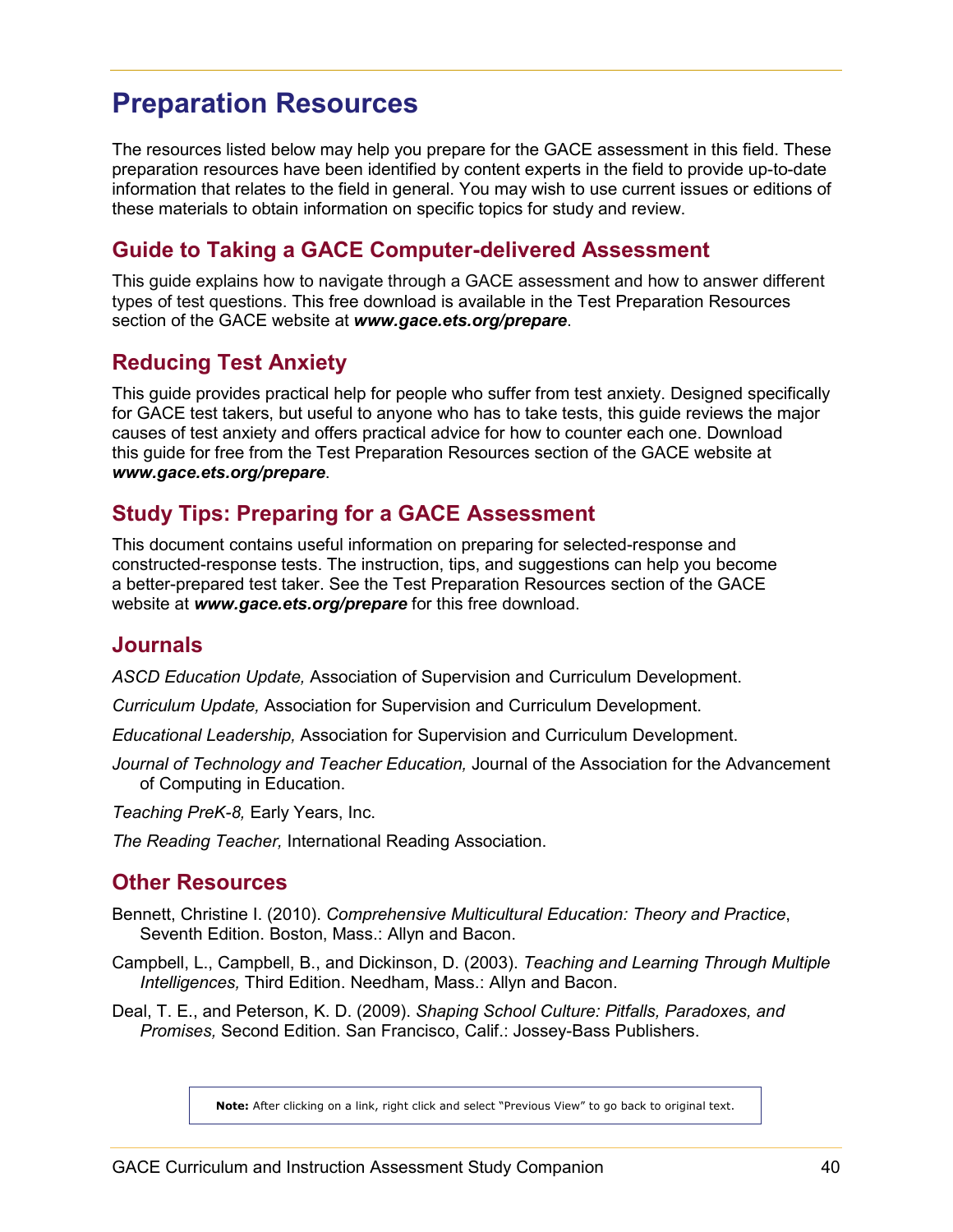# <span id="page-39-0"></span>**Preparation Resources**

The resources listed below may help you prepare for the GACE assessment in this field. These preparation resources have been identified by content experts in the field to provide up-to-date information that relates to the field in general. You may wish to use current issues or editions of these materials to obtain information on specific topics for study and review.

# <span id="page-39-1"></span>**Guide to Taking a GACE Computer-delivered Assessment**

This guide explains how to navigate through a GACE assessment and how to answer different types of test questions. This free download is available in the Test Preparation Resources section of the GACE website at *<www.gace.ets.org/prepare>*.

# <span id="page-39-2"></span>**Reducing Test Anxiety**

This guide provides practical help for people who suffer from test anxiety. Designed specifically for GACE test takers, but useful to anyone who has to take tests, this guide reviews the major causes of test anxiety and offers practical advice for how to counter each one. Download this guide for free from the Test Preparation Resources section of the GACE website at *<www.gace.ets.org/prepare>*.

### <span id="page-39-3"></span>**Study Tips: Preparing for a GACE Assessment**

This document contains useful information on preparing for selected-response and constructed-response tests. The instruction, tips, and suggestions can help you become a better-prepared test taker. See the Test Preparation Resources section of the GACE website at *[www.gace.ets.org/prepare](http://www.gace.ets.org/prepare)* for this free download.

### <span id="page-39-4"></span>**Journals**

*ASCD Education Update,* Association of Supervision and Curriculum Development.

*Curriculum Update,* Association for Supervision and Curriculum Development.

*Educational Leadership,* Association for Supervision and Curriculum Development.

*Journal of Technology and Teacher Education,* Journal of the Association for the Advancement of Computing in Education.

*Teaching PreK-8,* Early Years, Inc.

*The Reading Teacher,* International Reading Association.

### <span id="page-39-5"></span>**Other Resources**

Bennett, Christine I. (2010). *Comprehensive Multicultural Education: Theory and Practice*, Seventh Edition. Boston, Mass.: Allyn and Bacon.

Campbell, L., Campbell, B., and Dickinson, D. (2003). *Teaching and Learning Through Multiple Intelligences,* Third Edition. Needham, Mass.: Allyn and Bacon.

Deal, T. E., and Peterson, K. D. (2009). *Shaping School Culture: Pitfalls, Paradoxes, and Promises,* Second Edition. San Francisco, Calif.: Jossey-Bass Publishers.